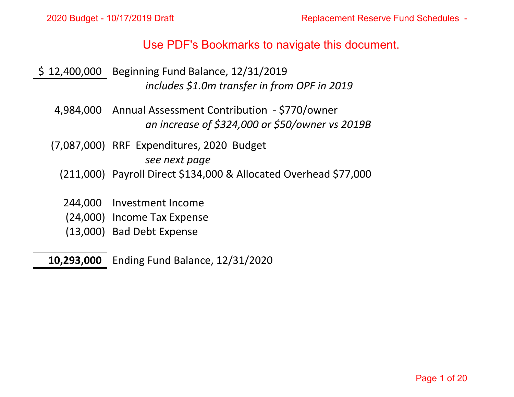- \$ 12,400,000 Beginning Fund Balance, 12/31/2019 *includes \$1.0m transfer in from OPF in 2019*
- 4,984,000 Annual Assessment Contribution ‐ \$770/owner *an increase of \$324,000 or \$50/owner vs 2019B* Use PDF's Bookmarks to navigate this document.<br>
ing Fund Balance, 12/31/2019<br>
includes \$1.0m transfer in from OPF in 2019<br>
1 Assessment Contribution - \$770/owner<br>
an increase of \$324,000 or \$50/owner vs 2019B<br>
spenditures,
	- (7,087,000) RRF Expenditures, 2020 Budget

*see next page*

- (211,000) Payroll Direct \$134,000 & Allocated Overhead \$77,000
- 244,000 Investment Income
- (24,000) Income Tax Expense
- (13,000) Bad Debt Expense
- **10,293,000** Ending Fund Balance, 12/31/2020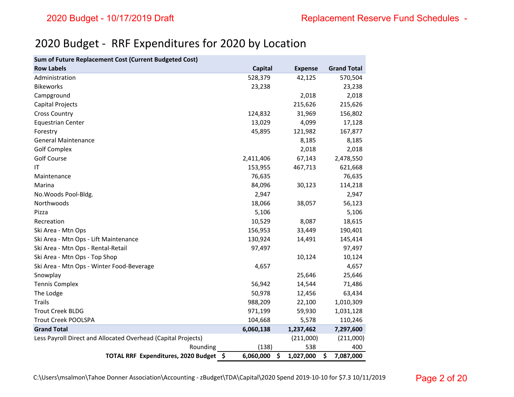# 2020 Budget ‐ RRF Expenditures for 2020 by Location

| Sum of Future Replacement Cost (Current Budgeted Cost)        |                |                 |                    |
|---------------------------------------------------------------|----------------|-----------------|--------------------|
| <b>Row Labels</b>                                             | <b>Capital</b> | <b>Expense</b>  | <b>Grand Total</b> |
| Administration                                                | 528,379        | 42,125          | 570,504            |
| <b>Bikeworks</b>                                              | 23,238         |                 | 23,238             |
| Campground                                                    |                | 2,018           | 2,018              |
| Capital Projects                                              |                | 215,626         | 215,626            |
| <b>Cross Country</b>                                          | 124,832        | 31,969          | 156,802            |
| <b>Equestrian Center</b>                                      | 13,029         | 4,099           | 17,128             |
| Forestry                                                      | 45,895         | 121,982         | 167,877            |
| <b>General Maintenance</b>                                    |                | 8,185           | 8,185              |
| <b>Golf Complex</b>                                           |                | 2,018           | 2,018              |
| <b>Golf Course</b>                                            | 2,411,406      | 67,143          | 2,478,550          |
| ΙT                                                            | 153,955        | 467,713         | 621,668            |
| Maintenance                                                   | 76,635         |                 | 76,635             |
| Marina                                                        | 84,096         | 30,123          | 114,218            |
| No. Woods Pool-Bldg.                                          | 2,947          |                 | 2,947              |
| Northwoods                                                    | 18,066         | 38,057          | 56,123             |
| Pizza                                                         | 5,106          |                 | 5,106              |
| Recreation                                                    | 10,529         | 8,087           | 18,615             |
| Ski Area - Mtn Ops                                            | 156,953        | 33,449          | 190,401            |
| Ski Area - Mtn Ops - Lift Maintenance                         | 130,924        | 14,491          | 145,414            |
| Ski Area - Mtn Ops - Rental-Retail                            | 97,497         |                 | 97,497             |
| Ski Area - Mtn Ops - Top Shop                                 |                | 10,124          | 10,124             |
| Ski Area - Mtn Ops - Winter Food-Beverage                     | 4,657          |                 | 4,657              |
| Snowplay                                                      |                | 25,646          | 25,646             |
| <b>Tennis Complex</b>                                         | 56,942         | 14,544          | 71,486             |
| The Lodge                                                     | 50,978         | 12,456          | 63,434             |
| <b>Trails</b>                                                 | 988,209        | 22,100          | 1,010,309          |
| <b>Trout Creek BLDG</b>                                       | 971,199        | 59,930          | 1,031,128          |
| <b>Trout Creek POOLSPA</b>                                    | 104,668        | 5,578           | 110,246            |
| <b>Grand Total</b>                                            | 6,060,138      | 1,237,462       | 7,297,600          |
| Less Payroll Direct and Allocated Overhead (Capital Projects) |                | (211,000)       | (211,000)          |
| Rounding                                                      | (138)          | 538             | 400                |
| TOTAL RRF Expenditures, 2020 Budget \$                        | 6,060,000      | \$<br>1,027,000 | \$<br>7,087,000    |

C:\Users\msalmon\Tahoe Donner Association\Accounting ‐ zBudget\TDA\Capital\2020 Spend 2019‐10‐10 for \$7.3 10/11/2019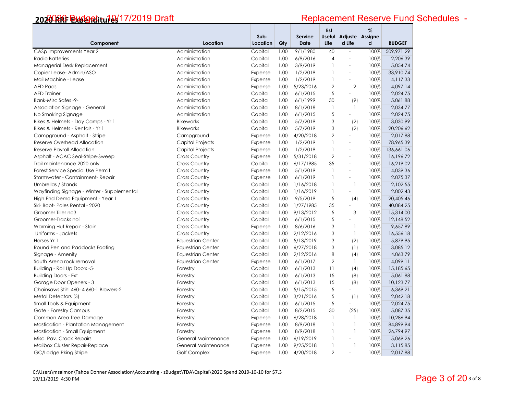|                                            |                          |                  |      |                               | Est            |                                  | %    |               |
|--------------------------------------------|--------------------------|------------------|------|-------------------------------|----------------|----------------------------------|------|---------------|
| Component                                  | Location                 | Sub-<br>Location | Qty  | <b>Service</b><br><b>Date</b> | Life           | Useful Adjuste Assigne<br>d Life | d    | <b>BUDGET</b> |
| CASp Improvements Year 2                   | Administration           | Capital          | 1.00 | 9/1/1980                      | 40             | $\overline{a}$                   | 100% | 509,971.29    |
| <b>Radio Batteries</b>                     | Administration           | Capital          | 1.00 | 6/9/2016                      | $\overline{4}$ | $\overline{a}$                   | 100% | 2,206.39      |
| Managerial Desk Replacement                | Administration           | Capital          | 1.00 | 3/9/2019                      | $\mathbf{1}$   | ÷,                               | 100% | 5,054.74      |
| Copier Lease-Admin/ASO                     | Administration           | Expense          | 1.00 | 1/2/2019                      | $\mathbf{1}$   | $\sim$                           | 100% | 33,910.74     |
| Mail Machine - Lease                       | Administration           | Expense          | 1.00 | 1/2/2019                      | $\mathbf{1}$   | $\overline{a}$                   | 100% | 4,117.33      |
| <b>AED Pads</b>                            | Administration           | Expense          | 1.00 | 5/23/2016                     | $\overline{2}$ | $\overline{2}$                   | 100% | 4,097.14      |
| <b>AED Trainer</b>                         | Administration           | Capital          | 1.00 | 6/1/2015                      | 5              | $\overline{a}$                   | 100% | 2,024.75      |
| Bank-Misc Safes -9-                        | Administration           | Capital          | 1.00 | 6/1/1999                      | 30             | (9)                              | 100% | 5,061.88      |
| Association Signage - General              | Administration           | Capital          | 1.00 | 8/1/2018                      | $\mathbf{1}$   | $\mathbf{1}$                     | 100% | 2,034.77      |
| No Smoking Signage                         | Administration           | Capital          | 1.00 | 6/1/2015                      | 5              | ÷.                               | 100% | 2,024.75      |
| Bikes & Helmets - Day Camps - Yr 1         | <b>Bikeworks</b>         | Capital          | 1.00 | 5/7/2019                      | 3              | (2)                              | 100% | 3,030.99      |
| Bikes & Helmets - Rentals - Yr 1           | <b>Bikeworks</b>         | Capital          | 1.00 | 5/7/2019                      | 3              | (2)                              | 100% | 20,206.62     |
| Campground - Asphalt - Stripe              | Campground               | Expense          | 1.00 | 4/20/2018                     | $\overline{2}$ | $\overline{a}$                   | 100% | 2,017.88      |
| <b>Reserve Overhead Allocation</b>         | Capital Projects         | Expense          | 1.00 | 1/2/2019                      | $\mathbf{1}$   | $\overline{a}$                   | 100% | 78,965.39     |
| Reserve Payroll Allocation                 | <b>Capital Projects</b>  | Expense          | 1.00 | 1/2/2019                      | $\mathbf{1}$   | $\overline{a}$                   | 100% | 136,661.06    |
| Asphalt - ACAC Seal-Stripe-Sweep           | <b>Cross Country</b>     | Expense          | 1.00 | 5/31/2018                     | $\overline{2}$ | ÷,                               | 100% | 16,196.72     |
| Trail maintenance 2020 only                | <b>Cross Country</b>     | Capital          | 1.00 | 6/17/1985                     | 35             | $\overline{a}$                   | 100% | 16,219.02     |
| Forest Service Special Use Permit          | <b>Cross Country</b>     | Expense          | 1.00 | 5/1/2019                      | $\mathbf{1}$   | $\blacksquare$                   | 100% | 4,039.36      |
| Stormwater - Containment-Repair            | <b>Cross Country</b>     | Expense          | 1.00 | 6/1/2019                      | $\mathbf{1}$   | $\overline{a}$                   | 100% | 2,075.37      |
| Umbrellas / Stands                         | <b>Cross Country</b>     | Capital          | 1.00 | 1/16/2018                     | $\mathbf{1}$   | $\mathbf{1}$                     | 100% | 2,102.55      |
| Wayfinding Signage - Winter - Supplemental | <b>Cross Country</b>     | Capital          | 1.00 | 1/16/2019                     | $\mathbf{1}$   | $\equiv$                         | 100% | 2,002.43      |
| High End Demo Equipment - Year 1           | <b>Cross Country</b>     | Capital          | 1.00 | 9/5/2019                      | 5              | (4)                              | 100% | 20,405.46     |
| Ski-Boot-Poles Rental - 2020               | <b>Cross Country</b>     | Capital          | 1.00 | 1/27/1985                     | 35             | $\equiv$                         | 100% | 40,084.25     |
| Groomer Tiller no3                         | <b>Cross Country</b>     | Capital          | 1.00 | 9/13/2012                     | 5              | 3                                | 100% | 15,314.00     |
| Groomer-Tracks no 1                        | <b>Cross Country</b>     | Capital          | 1.00 | 6/1/2015                      | 5              | L.                               | 100% | 12,148.52     |
| Warming Hut Repair - Stain                 | <b>Cross Country</b>     | Expense          | 1.00 | 8/6/2016                      | 3              | $\mathbf{1}$                     | 100% | 9.657.89      |
| Uniforms - Jackets                         | <b>Cross Country</b>     | Capital          | 1.00 | 2/12/2016                     | 3              | $\mathbf{1}$                     | 100% | 16,556.18     |
| Horses Yr 1                                | <b>Equestrian Center</b> | Capital          | 1.00 | 5/13/2019                     | 3              | (2)                              | 100% | 5,879.95      |
| Round Pen and Paddocks Footing             | <b>Equestrian Center</b> | Capital          | 1.00 | 6/27/2018                     | 3              | (1)                              | 100% | 3,085.12      |
| Signage - Amenity                          | <b>Equestrian Center</b> | Capital          | 1.00 | 2/12/2016                     | 8              | (4)                              | 100% | 4,063.79      |
| South Arena rock removal                   | <b>Equestrian Center</b> | Expense          | 1.00 | 6/1/2017                      | $\overline{2}$ | $\mathbf{1}$                     | 100% | 4,099.11      |
| Building - Roll Up Doors -5-               | Forestry                 | Capital          | 1.00 | 6/1/2013                      | 11             | (4)                              | 100% | 15,185.65     |
| <b>Building Doors - Ext</b>                | Forestry                 | Capital          | 1.00 | 6/1/2013                      | 15             | (8)                              | 100% | 5,061.88      |
| Garage Door Openers - 3                    | Forestry                 | Capital          | 1.00 | 6/1/2013                      | 15             | (8)                              | 100% | 10,123.77     |
| Chainsaws Stihl 460-4 660-1 Blowers-2      | Forestry                 | Capital          | 1.00 | 5/15/2015                     | 5              | $\overline{a}$                   | 100% | 6,369.21      |
| Metal Detectors (3)                        | Forestry                 | Capital          | 1.00 | 3/21/2016                     | 5              | (1)                              | 100% | 2,042.18      |
| Small Tools & Equipment                    | Forestry                 | Capital          | 1.00 | 6/1/2015                      | 5              | ÷.                               | 100% | 2,024.75      |
| Gate - Forestry Campus                     | Forestry                 | Capital          | 1.00 | 8/2/2015                      | 30             | (25)                             | 100% | 5,087.35      |
| Common Area Tree Damage                    | Forestry                 | Expense          | 1.00 | 6/28/2018                     | $\mathbf{1}$   | $\mathbf{1}$                     | 100% | 10,286.94     |
| Mastication - Plantation Management        | Forestry                 | Expense          | 1.00 | 8/9/2018                      | $\mathbf{1}$   | $\mathbf{1}$                     | 100% | 84,899.94     |
| Mastication - Small Equipment              | Forestry                 | Expense          | 1.00 | 8/9/2018                      | $\mathbf{1}$   | $\mathbf{1}$                     | 100% | 26,794.97     |
| Misc. Pav. Crack Repairs                   | General Maintenance      | Expense          | 1.00 | 6/19/2019                     | $\mathbf{1}$   | $\overline{a}$                   | 100% | 5,069.26      |
| Mailbox Cluster Repair-Replace             | General Maintenance      | Expense          | 1.00 | 9/25/2018                     | $\mathbf{1}$   | $\mathbf{1}$                     | 100% | 3,115.85      |
| GC/Lodge Pking Stripe                      | <b>Golf Complex</b>      | Expense          | 1.00 | 4/20/2018                     | $\overline{2}$ | $\overline{a}$                   | 100% | 2,017.88      |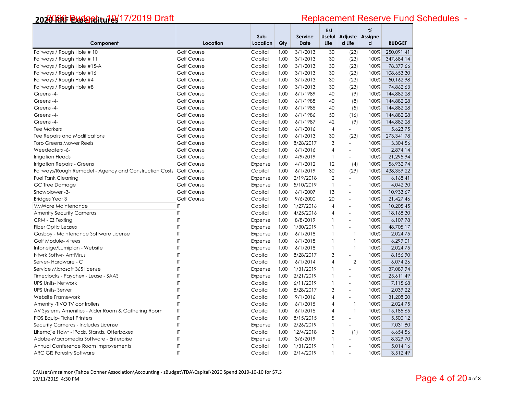| Component                                              | Location               | Sub-<br>Location | Qty  | Service<br>Date | Est<br><b>Useful</b><br>Life | Adjuste<br>d Life        | $\%$<br>Assigne<br>d | <b>BUDGET</b> |
|--------------------------------------------------------|------------------------|------------------|------|-----------------|------------------------------|--------------------------|----------------------|---------------|
| Fairways / Rough Hole # 10                             | Golf Course            | Capital          | 1.00 | 3/1/2013        | 30                           | (23)                     | 100%                 | 250,091.41    |
| Fairways / Rough Hole # 11                             | <b>Golf Course</b>     | Capital          | 1.00 | 3/1/2013        | 30                           | (23)                     | 100%                 | 347,684.14    |
| Fairways / Rough Hole #15-A                            | <b>Golf Course</b>     | Capital          | 1.00 | 3/1/2013        | 30                           | (23)                     | 100%                 | 78,379.66     |
| Fairways / Rough Hole #16                              | Golf Course            | Capital          | 1.00 | 3/1/2013        | 30                           | (23)                     | 100%                 | 108,653.30    |
| Fairways / Rough Hole #4                               | Golf Course            | Capital          | 1.00 | 3/1/2013        | 30                           | (23)                     | 100%                 | 50,162.98     |
| Fairways / Rough Hole #8                               | Golf Course            | Capital          | 1.00 | 3/1/2013        | 30                           | (23)                     | 100%                 | 74,862.63     |
| Greens-4-                                              | Golf Course            | Capital          | 1.00 | 6/1/1989        | 40                           | (9)                      | 100%                 | 144,882.28    |
| Greens-4-                                              | Golf Course            | Capital          | 1.00 | 6/1/1988        | 40                           | (8)                      | 100%                 | 144,882.28    |
| Greens-4-                                              | <b>Golf Course</b>     | Capital          | 1.00 | 6/1/1985        | 40                           | (5)                      | 100%                 | 144,882.28    |
| Greens-4-                                              | Golf Course            | Capital          | 1.00 | 6/1/1986        | 50                           | (16)                     | 100%                 | 144,882.28    |
| Greens-4-                                              | Golf Course            | Capital          | 1.00 | 6/1/1987        | 42                           | (9)                      | 100%                 | 144,882.28    |
| <b>Tee Markers</b>                                     | <b>Golf Course</b>     | Capital          | 1.00 | 6/1/2016        | $\overline{4}$               | ÷.                       | 100%                 | 5,623.75      |
| Tee Repairs and Modifications                          | Golf Course            | Capital          | 1.00 | 6/1/2013        | 30                           | (23)                     | 100%                 | 273,341.78    |
| <b>Toro Greens Mower Reels</b>                         | <b>Golf Course</b>     | Capital          | 1.00 | 8/28/2017       | 3                            | $\equiv$                 | 100%                 | 3,304.56      |
| Weedeaters -6-                                         | Golf Course            | Capital          | 1.00 | 6/1/2016        | $\overline{4}$               | $\equiv$                 | 100%                 | 2,874.14      |
| Irrigation Heads                                       | Golf Course            | Capital          | 1.00 | 4/9/2019        | $\mathbf{1}$                 | $\sim$                   | 100%                 | 21,295.94     |
| Irrigation Repairs - Greens                            | Golf Course            | Expense          | 1.00 | 4/1/2012        | 12                           | (4)                      | 100%                 | 56,932.74     |
| Fairways/Rough Remodel - Agency and Construction Costs | <b>Golf Course</b>     | Capital          | 1.00 | 6/1/2019        | 30                           | (29)                     | 100%                 | 438,359.22    |
| <b>Fuel Tank Cleaning</b>                              | Golf Course            | Expense          | 1.00 | 2/19/2018       | $\overline{2}$               | $\equiv$                 | 100%                 | 6,168.41      |
| GC Tree Damage                                         | <b>Golf Course</b>     | Expense          | 1.00 | 5/10/2019       | $\mathbf{1}$                 | ÷.                       | 100%                 | 4,042.30      |
| Snowblower-3-                                          | <b>Golf Course</b>     | Capital          | 1.00 | 6/1/2007        | 13                           | $\blacksquare$           | 100%                 | 10,933.67     |
| <b>Bridges Year 3</b>                                  | Golf Course            | Capital          | 1.00 | 9/6/2000        | 20                           | $\mathbf{r}$             | 100%                 | 21,427.46     |
| VMWare Maintenance                                     | $\mathsf{I}$           | Capital          | 1.00 | 1/27/2016       | $\overline{4}$               | $\overline{\phantom{a}}$ | 100%                 | 10,205.45     |
| <b>Amenity Security Cameras</b>                        | $\mathsf{I}\mathsf{T}$ | Capital          | 1.00 | 4/25/2016       | $\overline{4}$               | $\equiv$                 | 100%                 | 18,168.30     |
| CRM - EZ Texting                                       | $\mathsf{I}$           | Expense          | 1.00 | 8/8/2019        | $\mathbf{1}$                 | $\overline{a}$           | 100%                 | 6,107.78      |
| <b>Fiber Optic Leases</b>                              | $\mathsf{I}$           | Expense          | 1.00 | 1/30/2019       | $\mathbf{1}$                 | $\blacksquare$           | 100%                 | 48,705.17     |
| Gasboy - Maintenance Software License                  | $\mathsf{I}\mathsf{T}$ | Expense          | 1.00 | 6/1/2018        | $\mathbf{1}$                 | $\mathbf{1}$             | 100%                 | 2,024.75      |
| Golf Module- 4 tees                                    | $\mathsf{I}$           | Expense          | 1.00 | 6/1/2018        | $\mathbf{1}$                 | $\mathbf{1}$             | 100%                 | 6,299.01      |
| Infoneige/Lumiplan - Website                           | IT                     | Expense          | 1.00 | 6/1/2018        | $\mathbf{1}$                 | $\mathbf{1}$             | 100%                 | 2.024.75      |
| Ntwrk Softwr- AntiVirus                                | $\mathsf{I}$           | Capital          | 1.00 | 8/28/2017       | 3                            | L.                       | 100%                 | 8,156.90      |
| Server-Hardware - C                                    | $\mathsf{I}$           | Capital          | 1.00 | 6/1/2014        | $\overline{4}$               | $\overline{2}$           | 100%                 | 6,074.26      |
| Service Microsoft 365 license                          | $\mathsf{I}$           | Expense          | 1.00 | 1/31/2019       | $\mathbf{1}$                 | ÷,                       | 100%                 | 37,089.94     |
| Timeclocks - Paychex - Lease - SAAS                    | $\mathsf I\mathsf T$   | Expense          | 1.00 | 2/21/2019       | $\mathbf{1}$                 | $\equiv$                 | 100%                 | 25,611.49     |
| <b>UPS Units-Network</b>                               | $\mathsf{I}$           | Capital          | 1.00 | 6/11/2019       | $\mathbf{1}$                 | $\Box$                   | 100%                 | 7,115.68      |
| <b>UPS Units-Server</b>                                | $\mathsf{I}$           | Capital          | 1.00 | 8/28/2017       | 3                            | ÷,                       | 100%                 | 2.039.22      |
| Website Framework                                      | $\mathsf{I}$           | Capital          | 1.00 | 9/1/2016        | $\overline{4}$               | ÷,                       | 100%                 | 31,208.20     |
| Amenity - TIVO TV controllers                          | $\overline{1}$         | Capital          | 1.00 | 6/1/2015        | $\overline{4}$               | $\mathbf{1}$             | 100%                 | 2,024.75      |
| AV Systems Amenities - Alder Room & Gathering Room     | $\sf I\sf T$           | Capital          | 1.00 | 6/1/2015        | $\overline{4}$               | $\mathbf{1}$             | 100%                 | 15,185.65     |
| POS Equip-Ticket Printers                              | $\sf I\sf T$           | Capital          | 1.00 | 8/15/2015       | 5                            | $\overline{a}$           | 100%                 | 5,500.12      |
| Security Cameras - Includes License                    | $\mathsf{I}$           | Expense          | 1.00 | 2/26/2019       | $\mathbf{1}$                 | $\blacksquare$           | 100%                 | 7,031.80      |
| Likemojie Hdwr - iPads, Stands, Otterboxes             | $\mathsf{I}$           | Capital          | 1.00 | 12/4/2018       | 3                            | (1)                      | 100%                 | 6,654.56      |
| Adobe-Macromedia Software - Enterprise                 | $\overline{1}$         | Expense          | 1.00 | 3/6/2019        | $\mathbf{1}$                 | L.                       | 100%                 | 8,329.70      |
| Annual Conference Room Improvements                    | IT                     | Capital          | 1.00 | 1/31/2019       | $\mathbf{1}$                 | $\equiv$                 | 100%                 | 5,014.16      |
| ARC GIS Forestry Software                              | IT                     | Capital          | 1.00 | 2/14/2019       | $\mathbf{1}$                 | $\overline{a}$           | 100%                 | 3,512.49      |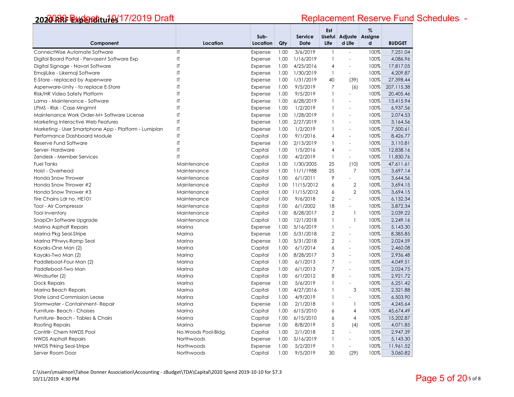|                                                       |                        | Sub-     |      | <b>Service</b> | Est<br><b>Useful</b> | Adjuste                  | %<br>Assigne |               |
|-------------------------------------------------------|------------------------|----------|------|----------------|----------------------|--------------------------|--------------|---------------|
| Component                                             | Location               | Location | Qty  | <b>Date</b>    | Life                 | d Life                   | q            | <b>BUDGET</b> |
| ConnectWise Automate Software                         | $\mathsf{I}$           | Expense  | 1.00 | 3/6/2019       | $\mathbf{1}$         | $\omega$                 | 100%         | 7.251.04      |
| Digital Board Portal - Pervasent Software Exp         | $\mathsf{I}\mathsf{T}$ | Expense  | 1.00 | 1/16/2019      | $\mathbf{1}$         | $\sim$                   | 100%         | 4,086.96      |
| Digital Signage - Navori Software                     | $\mathsf{I}$           | Expense  | 1.00 | 4/25/2016      | $\overline{4}$       | $\mathbf{r}$             | 100%         | 17,817.05     |
| EmojiLike - Likemoji Software                         | IT                     | Expense  | 1.00 | 1/30/2019      | $\mathbf{1}$         | $\blacksquare$           | 100%         | 4.209.87      |
| E-Store - replaced by Aspenware                       | $\mathsf{I}$           | Expense  | 1.00 | 1/31/2019      | 40                   | (39)                     | 100%         | 27,398.44     |
| Aspenware-Unity - to replace E-Store                  | $\mathsf{I}$           | Expense  | 1.00 | 9/5/2019       | 7                    | (6)                      | 100%         | 207,115.38    |
| Risk/HR Video Safety Platform                         | $\mathsf{I}$           | Expense  | 1.00 | 9/5/2019       | $\mathbf{1}$         | $\sim$                   | 100%         | 20,405.46     |
| Lama - Maintenance - Software                         | $\mathsf{I}$           | Expense  | 1.00 | 6/28/2019      | $\mathbf{1}$         | $\overline{a}$           | 100%         | 13,415.94     |
| LPMS - Risk - Case Mngmnt                             | $\mathsf{I}$           | Expense  | 1.00 | 1/2/2019       | $\mathbf{1}$         | $\overline{\phantom{a}}$ | 100%         | 6,937.56      |
| Maintenance Work Order-M+ Software License            | $\mathsf{I}$           | Expense  | 1.00 | 1/28/2019      | $\mathbf{1}$         | $\sim$                   | 100%         | 2.074.53      |
| Marketing Interactive Web Features                    | $\mathsf{I}$           | Expense  | 1.00 | 2/27/2019      | $\mathbf{1}$         | $\blacksquare$           | 100%         | 3,164.56      |
| Marketing - User Smartphone App - Platform - Lumiplan | $\mathsf{I}\mathsf{T}$ | Expense  | 1.00 | 1/2/2019       | $\mathbf{1}$         | $\overline{\phantom{a}}$ | 100%         | 7,500.61      |
| Performance Dashboard Module                          | $\mathsf{I}$           | Capital  | 1.00 | 9/1/2016       | $\overline{4}$       | $\mathbf{r}$             | 100%         | 8,426.77      |
| Reserve Fund Software                                 | $\mathsf{I}$           | Expense  | 1.00 | 2/13/2019      | $\mathbf{1}$         | $\overline{\phantom{a}}$ | 100%         | 3,110.81      |
| Server-Hardware                                       | $\mathsf{I}$           | Capital  | 1.00 | 1/5/2016       | $\overline{4}$       |                          | 100%         | 12,838.16     |
| Zendesk - Member Services                             | IT                     | Capital  | 1.00 | 4/2/2019       | $\mathbf{1}$         | $\sim$                   | 100%         | 11,830.76     |
| <b>Fuel Tanks</b>                                     | Maintenance            | Capital  | 1.00 | 1/30/2005      | 25                   | (10)                     | 100%         | 47,611.61     |
| Hoist - Overhead                                      | Maintenance            | Capital  | 1.00 | 11/1/1988      | 25                   | $\overline{7}$           | 100%         | 3,697.14      |
| Honda Snow Thrower                                    | Maintenance            | Capital  | 1.00 | 6/1/2011       | 9                    | $\sim$                   | 100%         | 3,644.56      |
| Honda Snow Thrower #2                                 | Maintenance            | Capital  | 1.00 | 11/15/2012     | 6                    | $\mathbf{2}$             | 100%         | 3,694.15      |
| Honda Snow Thrower #3                                 | Maintenance            | Capital  | 1.00 | 11/15/2012     | 6                    | $\overline{2}$           | 100%         | 3,694.15      |
| Tire Chains Ldr no. HE101                             | Maintenance            | Capital  | 1.00 | 9/6/2018       | $\overline{2}$       | $\sim$                   | 100%         | 6,132.34      |
| Tool - Air Compressor                                 | Maintenance            | Capital  | 1.00 | 6/1/2002       | 18                   | $\omega$                 | 100%         | 3,872.34      |
| <b>Tool Inventory</b>                                 | Maintenance            | Capital  | 1.00 | 8/28/2017      | $\overline{2}$       | $\mathbf{1}$             | 100%         | 2,039.22      |
| SnapOn Software Upgrade                               | Maintenance            | Capital  | 1.00 | 12/1/2018      | $\mathbf{1}$         | $\mathbf{1}$             | 100%         | 2,249.16      |
| Marina Asphalt Repairs                                | Marina                 | Expense  | 1.00 | 5/16/2019      | $\mathbf{1}$         | $\blacksquare$           | 100%         | 5,143.30      |
| Marina Pkg Seal-Stripe                                | Marina                 | Expense  | 1.00 | 5/31/2018      | $\overline{2}$       | $\sim$                   | 100%         | 8,385.85      |
| Marina Pthwys-Ramp Seal                               | Marina                 | Expense  | 1.00 | 5/31/2018      | $\overline{2}$       | $\bar{a}$                | 100%         | 2.024.59      |
| Kayaks-One Man (2)                                    | Marina                 | Capital  | 1.00 | 6/1/2014       | 6                    | $\sim$                   | 100%         | 2,460.08      |
| Kayaks-Two Man (2)                                    | Marina                 | Capital  | 1.00 | 8/28/2017      | 3                    | $\overline{a}$           | 100%         | 2,936.48      |
| Paddleboat-Four Man (2)                               | Marina                 | Capital  | 1.00 | 6/1/2013       | $\overline{7}$       | $\blacksquare$           | 100%         | 4,049.51      |
| Paddleboat-Two Man                                    | Marina                 | Capital  | 1.00 | 6/1/2013       | $\overline{7}$       | $\overline{a}$           | 100%         | 2,024.75      |
| Windsurfer (2)                                        | Marina                 | Capital  | 1.00 | 6/1/2012       | 8                    | $\overline{\phantom{a}}$ | 100%         | 2,921.72      |
| <b>Dock Repairs</b>                                   | Marina                 | Expense  | 1.00 | 5/6/2019       | $\mathbf{1}$         | $\sim$                   | 100%         | 6,251.42      |
| Marina Beach Repairs                                  | Marina                 | Capital  | 1.00 | 4/27/2016      | $\mathbf{1}$         | $\mathsf 3$              | 100%         | 2,321.88      |
| <b>State Land Commission Lease</b>                    | Marina                 | Capital  | 1.00 | 4/9/2019       | $\mathbf{1}$         | $\sim$                   | 100%         | 6,503.90      |
| Stormwater - Containment- Repair                      | Marina                 | Expense  | 1.00 | 2/1/2018       | $\mathbf{1}$         | $\mathbf{1}$             | 100%         | 4,245.64      |
| Furniture- Beach - Chaises                            | Marina                 | Capital  | 1.00 | 6/15/2010      | 6                    | 4                        | 100%         | 45,674.49     |
| Furniture- Beach - Tables & Chairs                    | Marina                 | Capital  | 1.00 | 6/15/2010      | 6                    | $\overline{4}$           | 100%         | 15,202.87     |
| <b>Roofing Repairs</b>                                | Marina                 | Expense  | 1.00 | 8/8/2019       | 5                    | (4)                      | 100%         | 4,071.85      |
| Contrilr- Chem NWDS Pool                              | No. Woods Pool-Bldg.   | Capital  | 1.00 | 2/1/2018       | $\overline{2}$       | $\sim$                   | 100%         | 2,947.39      |
| <b>NWDS Asphalt Repairs</b>                           | Northwoods             | Expense  | 1.00 | 5/16/2019      | $\mathbf{1}$         |                          | 100%         | 5,143.30      |
| NWDS Prking Seal-Stripe                               | Northwoods             | Expense  | 1.00 | 5/2/2019       | $\mathbf{1}$         | $\sim$                   | 100%         | 11,961.52     |
| Server Room Door                                      | Northwoods             | Capital  | 1.00 | 9/5/2019       | 30                   | (29)                     | 100%         | 3,060.82      |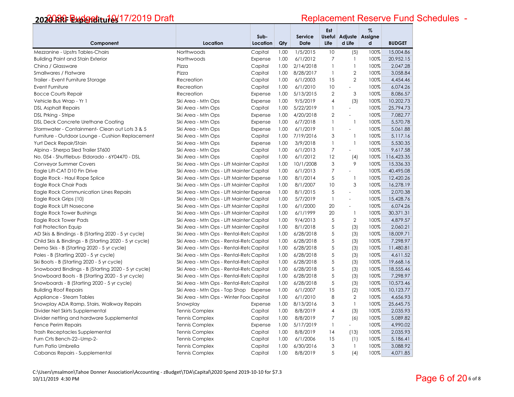|                                                        |                                           | Sub-     |          | Service   | Est            | Useful Adjuste Assigne | $\%$     |               |
|--------------------------------------------------------|-------------------------------------------|----------|----------|-----------|----------------|------------------------|----------|---------------|
| Component                                              | Location                                  | Location | Qty      | Date      | Life           | d Life                 | d        | <b>BUDGET</b> |
| Mezzanine - Upstrs Tables-Chairs                       | Northwoods                                | Capital  | 1.00     | 1/5/2015  | 10             | (5)                    | 100%     | 15,004.86     |
| <b>Building Paint and Stain Exterior</b>               | Northwoods                                | Expense  | 1.00     | 6/1/2012  | $\overline{7}$ | $\mathbf{1}$           | 100%     | 20,952.15     |
| China / Glassware                                      | Pizza                                     | Capital  | 1.00     | 2/14/2018 | $\mathbf{1}$   | $\mathbf{1}$           | 100%     | 2,047.28      |
| Smallwares / Flatware                                  | Pizza                                     | Capital  | 1.00     | 8/28/2017 | $\mathbf{1}$   | $\overline{2}$         | 100%     | 3,058.84      |
| Trailer - Event Furniture Storage                      | Recreation                                | Capital  | 1.00     | 6/1/2003  | 15             | $\overline{2}$         | 100%     | 4,454.46      |
| Event Furniture                                        | Recreation                                | Capital  | 1.00     | 6/1/2010  | 10             | ÷,                     | 100%     | 6,074.26      |
| <b>Bocce Courts Repair</b>                             | Recreation                                | Expense  | 1.00     | 5/13/2015 | $\overline{2}$ | 3                      | 100%     | 8,086.57      |
| Vehicle Bus Wrap - Yr 1                                | Ski Area - Mtn Ops                        | Expense  | 1.00     | 9/5/2019  | $\overline{4}$ | (3)                    | 100%     | 10,202.73     |
| <b>DSL Asphalt Repairs</b>                             | Ski Area - Mtn Ops                        | Capital  | 1.00     | 5/22/2019 | $\mathbf{1}$   | $\equiv$               | 100%     | 25,794.73     |
| DSL Prking - Stripe                                    | Ski Area - Mtn Ops                        | Expense  | 1.00     | 4/20/2018 | $\overline{2}$ | L.                     | 100%     | 7,082.77      |
| <b>DSL Deck Concrete Urethane Coating</b>              | Ski Area - Mtn Ops                        | Expense  | 1.00     | 6/7/2018  | $\mathbf{1}$   | $\mathbf{1}$           | 100%     | 5,570.78      |
| Stormwater - Containment- Clean out Lots 3 & 5         | Ski Area - Mtn Ops                        | Expense  | 1.00     | 6/1/2019  | $\mathbf{1}$   | L.                     | 100%     | 5,061.88      |
| Furniture - Outdoor Lounge - Cushion Replacement       | Ski Area - Mtn Ops                        | Capital  | 1.00     | 7/19/2016 | 3              | $\mathbf{1}$           | 100%     | 5,117.16      |
| Yurt Deck Repair/Stain                                 | Ski Area - Mtn Ops                        | Expense  | 1.00     | 3/9/2018  | $\mathbf{1}$   | $\mathbf{1}$           | 100%     | 5,530.35      |
| Alpina - Sherpa Sled Trailer ST600                     | Ski Area - Mtn Ops                        | Capital  | 1.00     | 6/1/2013  | $\overline{7}$ | ÷.                     | 100%     | 9,617.58      |
| No. 054 - Shuttlebus- Eldorado - 6Y04470 - DSL         | Ski Area - Mtn Ops                        | Capital  | 1.00     | 6/1/2012  | 12             | (4)                    | 100%     | 116,423.35    |
| <b>Conveyor Summer Covers</b>                          | Ski Area - Mtn Ops - Lift Mainter Capital |          | 1.00     | 10/1/2008 | 3              | 9                      | 100%     | 15,336.33     |
| Eagle Lift-CAT D10 Fin Drive                           | Ski Area - Mtn Ops - Lift Mainter Capital |          | 1.00     | 6/1/2013  | $\overline{7}$ | ÷.                     | 100%     | 40,495.08     |
| Eagle Rock - Haul Rope Splice                          | Ski Area - Mtn Ops - Lift Mainter Expense |          | 1.00     | 8/1/2014  | 5              | $\mathbf{1}$           | 100%     | 12,420.26     |
| Eagle Rock Chair Pads                                  | Ski Area - Mtn Ops - Lift Mainter Capital |          | 1.00     | 8/1/2007  | 10             | 3                      | 100%     | 16,278.19     |
| <b>Eagle Rock Communication Lines Repairs</b>          | Ski Area - Mtn Ops - Lift Mainter Expense |          | 1.00     | 8/1/2015  | 5              | $\blacksquare$         | 100%     | 2.070.38      |
| Eagle Rock Grips (10)                                  | Ski Area - Mtn Ops - Lift Mainter Capital |          | 1.00     | 5/7/2019  | $\mathbf{1}$   | $\overline{a}$         | 100%     | 15,428.76     |
| Eagle Rock Lift Nosecone                               | Ski Area - Mtn Ops - Lift Mainter Capital |          | 1.00     | 6/1/2000  | 20             | $\blacksquare$         | 100%     | 6,074.26      |
| Eagle Rock Tower Bushings                              | Ski Area - Mtn Ops - Lift Mainter Capital |          | 1.00     | 6/1/1999  | 20             | $\mathbf{1}$           | 100%     | 30,371.31     |
| Eagle Rock Tower Pads                                  | Ski Area - Mtn Ops - Lift Mainter Capital |          | 1.00     | 9/4/2013  | $\sqrt{5}$     | $\mathbf{2}$           | 100%     | 4,879.57      |
| <b>Fall Protection Equip</b>                           | Ski Area - Mtn Ops - Lift Mainter Capital |          | 1.00     | 8/1/2018  | 5              | (3)                    | 100%     | 2,060.21      |
| AD Skis & Bindings - B (Starting 2020 - 5 yr cycle)    | Ski Area - Mtn Ops - Rental-Retc Capital  |          | 1.00     | 6/28/2018 | 5              | (3)                    | 100%     | 18,009.71     |
| Child Skis & Bindings - B (Starting 2020 - 5 yr cycle) | Ski Area - Mtn Ops - Rental-Retc Capital  |          | 1.00     | 6/28/2018 | 5              | (3)                    | 100%     | 7,298.97      |
| Demo Skis - B (Starting 2020 - 5 yr cycle)             | Ski Area - Mtn Ops - Rental-Retc Capital  |          | 1.00     | 6/28/2018 | $\sqrt{5}$     | (3)                    | 100%     | 11,480.81     |
| Poles - B (Starting 2020 - 5 yr cycle)                 | Ski Area - Mtn Ops - Rental-Retc Capital  |          | 1.00     | 6/28/2018 | 5              | (3)                    | 100%     | 4,611.52      |
| Ski Boots - B (Starting 2020 - 5 yr cycle)             | Ski Area - Mtn Ops - Rental-Retc Capital  |          | 1.00     | 6/28/2018 | $\sqrt{5}$     | (3)                    | 100%     | 19,668.16     |
| Snowboard Bindings - B (Starting 2020 - 5 yr cycle)    | Ski Area - Mtn Ops - Rental-Retc Capital  |          | 1.00     | 6/28/2018 | $\sqrt{5}$     | (3)                    | 100%     | 18,555.46     |
| Snowboard Boots - B (Starting 2020 - 5 yr cycle)       | Ski Area - Mtn Ops - Rental-Retc Capital  |          | 1.00     | 6/28/2018 | 5              | (3)                    | 100%     | 7,298.97      |
| Snowboards - B (Starting 2020 - 5 yr cycle)            | Ski Area - Mtn Ops - Rental-Retc Capital  |          | 1.00     | 6/28/2018 | $\sqrt{5}$     | (3)                    | 100%     | 10,573.46     |
| <b>Building Roof Repairs</b>                           | Ski Area - Mtn Ops - Top Shop Expense     |          | 1.00     | 6/1/2007  | 15             | (2)                    | 100%     | 10,123.77     |
| Appliance - Steam Tables                               | Ski Area - Mtn Ops - Winter Fook Capital  |          | 1.00     | 6/1/2010  | 8              | $\overline{2}$         | 100%     | 4,656.93      |
| Snowplay ADA Ramp, Stairs, Walkway Repairs             | Snowplay                                  | Expense  | 1.00     | 8/13/2016 | 3              | $\mathbf{1}$           | 100%     | 25,645.75     |
| Divider Net Skirts Supplemental                        | <b>Tennis Complex</b>                     | Capital  | 1.00     | 8/8/2019  | $\overline{4}$ | (3)                    | 100%     | 2,035.93      |
| Divider netting and hardware Supplemental              | <b>Tennis Complex</b>                     | Capital  | 1.00     | 8/8/2019  | $\overline{7}$ | (6)                    | 100%     | 5,089.82      |
| Fence Perim Repairs                                    | <b>Tennis Complex</b>                     | Expense  | 1.00     | 5/17/2019 | $\mathbf{1}$   | $\sim$                 | 100%     | 4,990.02      |
| <b>Trash Receptacles Supplemental</b>                  | <b>Tennis Complex</b>                     | 1.00     | 8/8/2019 | 14        | (13)           | 100%                   | 2,035.93 |               |
| Furn Crts Bench-22--Ump-2-                             | <b>Tennis Complex</b>                     | 1.00     | 6/1/2006 | 15        | (1)            | 100%                   | 5,186.41 |               |
| Furn Patio Umbrella                                    | <b>Tennis Complex</b>                     | Capital  | 1.00     | 6/30/2016 | 3              | $\mathbf{1}$           | 100%     | 3,088.92      |
| Cabanas Repairs - Supplemental                         | <b>Tennis Complex</b>                     | Capital  | 1.00     | 8/8/2019  | 5              | (4)                    | 100%     | 4,071.85      |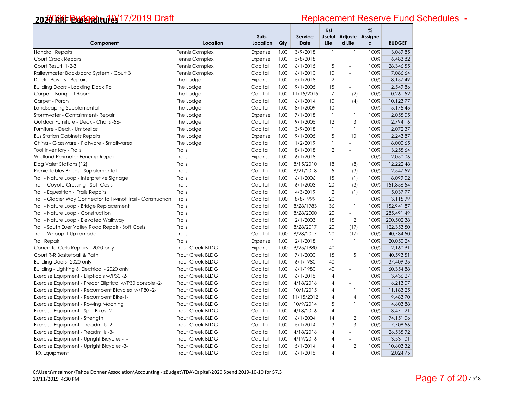# Replacement Reserve Fund Schedules -

|                                                               |                       | Sub-     |      | <b>Service</b>  | Est            | Useful Adjuste Assigne   | $\%$ |               |
|---------------------------------------------------------------|-----------------------|----------|------|-----------------|----------------|--------------------------|------|---------------|
| Component                                                     | Location              | Location | Qty  | <b>Date</b>     | Life           | d Life                   | d    | <b>BUDGET</b> |
| <b>Handrail Repairs</b>                                       | <b>Tennis Complex</b> | Expense  | 1.00 | 3/9/2018        | $\mathbf{1}$   | $\mathbf{1}$             | 100% | 3,069.85      |
| Court Crack Repairs                                           | <b>Tennis Complex</b> | Expense  | 1.00 | 5/8/2018        | $\mathbf{1}$   | $\mathbf{1}$             | 100% | 6,483.82      |
| Court Resurf. 1-2-3                                           | <b>Tennis Complex</b> | Capital  | 1.00 | 6/1/2015        | 5              | $\bar{a}$                | 100% | 28,346.55     |
| Ralleymaster Backboard System - Court 3                       | <b>Tennis Complex</b> | Capital  | 1.00 | 6/1/2010        | 10             | $\Box$                   | 100% | 7,086.64      |
| Deck - Pavers - Repairs                                       | The Lodge             | Expense  | 1.00 | 5/1/2018        | $\overline{2}$ | $\overline{a}$           | 100% | 8,157.49      |
| <b>Building Doors - Loading Dock Roll</b>                     | The Lodge             | Capital  | 1.00 | 9/1/2005        | 15             | $\equiv$                 | 100% | 2,549.86      |
| Carpet - Banquet Room                                         | The Lodge             | Capital  | 1.00 | 11/15/2015      | $\overline{7}$ | (2)                      | 100% | 10,261.52     |
| Carpet - Porch                                                | The Lodge             | Capital  | 1.00 | 6/1/2014        | 10             | (4)                      | 100% | 10,123.77     |
| Landscaping Supplemental                                      | The Lodge             | Capital  | 1.00 | 8/1/2009        | 10             | $\mathbf{1}$             | 100% | 5,175.45      |
| Stormwater - Containment- Repair                              | The Lodge             | Expense  | 1.00 | 7/1/2018        | $\mathbf{1}$   | $\mathbf{1}$             | 100% | 2,055.05      |
| Outdoor Furniture - Deck - Chairs -56-                        | The Lodge             | Capital  | 1.00 | 9/1/2005        | 12             | 3                        | 100% | 12,794.16     |
| Furniture - Deck - Umbrellas                                  | The Lodge             | Capital  | 1.00 | 3/9/2018        | $\mathbf{1}$   | $\mathbf{1}$             | 100% | 2,072.37      |
| <b>Bus Station Cabinets Repairs</b>                           | The Lodge             | Expense  | 1.00 | 9/1/2005        | 5              | 10                       | 100% | 2,243.87      |
| China - Glassware - Flatware - Smallwares                     | The Lodge             | Capital  | 1.00 | 1/2/2019        | $\mathbf{1}$   | $\equiv$                 | 100% | 8,000.65      |
| Tool Inventory - Trails                                       | Trails                | Capital  | 1.00 | 8/1/2018        | $\overline{2}$ | $\omega$                 | 100% | 3,255.64      |
| Wildland Perimeter Fencing Repair                             | Trails                | Expense  | 1.00 | 6/1/2018        | $\mathbf{1}$   | $\mathbf{1}$             | 100% | 2,050.06      |
| Dog Valet Stations (12)                                       | <b>Trails</b>         | Capital  | 1.00 | 8/15/2010       | 18             | (8)                      | 100% | 12,222.48     |
| Picnic Tables-Bnchs - Supplemental                            | Trails                | Capital  | 1.00 | 8/21/2018       | 5              | (3)                      | 100% | 2,547.59      |
| Trail - Nature Loop - Interpretive Signage                    | Trails                | Capital  | 1.00 | 6/1/2006        | 15             | (1)                      | 100% | 8,099.02      |
| Trail - Coyote Crossing - Soft Costs                          | Trails                | Capital  | 1.00 | 6/1/2003        | 20             | (3)                      | 100% | 151,856.54    |
| Trail - Equestrian - Trails Repairs                           | Trails                | Capital  | 1.00 | 4/3/2019        | $\overline{2}$ | (1)                      | 100% | 5,037.77      |
| Trail - Glacier Way Connector to Tiwinot Trail - Construction | <b>Trails</b>         | Capital  | 1.00 | 8/8/1999        | 20             | $\mathbf{1}$             | 100% | 3,115.99      |
| Trail - Nature Loop - Bridge Replacement                      | Trails                | Capital  | 1.00 | 8/28/1983       | 36             | $\mathbf{1}$             | 100% | 152,941.87    |
| Trail - Nature Loop - Construction                            | Trails                | Capital  | 1.00 | 8/28/2000       | 20             | $\sim$                   | 100% | 285,491.49    |
| Trail - Nature Loop - Elevated Walkway                        | <b>Trails</b>         | Capital  | 1.00 | 2/1/2003        | 15             | $\overline{2}$           | 100% | 200,502.38    |
| Trail - South Euer Valley Road Repair - Soft Costs            | Trails                | Capital  | 1.00 | 8/28/2017       | 20             | (17)                     | 100% | 122,353.50    |
| Trail - Whoop it Up remodel                                   | Trails                | Capital  | 1.00 | 8/28/2017       | 20             | (17)                     | 100% | 40,784.50     |
| <b>Trail Repair</b>                                           | <b>Trails</b>         | Expense  | 1.00 | 2/1/2018        | $\mathbf{1}$   | $\overline{1}$           | 100% | 20,050.24     |
| Concrete Curb Repairs - 2020 only                             | Trout Creek BLDG      | Expense  | 1.00 | 9/25/1980       | 40             | $\sim$                   | 100% | 12,160.91     |
| Court R-R Basketball & Path                                   | Trout Creek BLDG      | Capital  | 1.00 | 7/1/2000        | 15             | 5                        | 100% | 40,593.51     |
| Building Doors- 2020 only                                     | Trout Creek BLDG      | Capital  | 1.00 | 6/1/1980        | 40             | $\bar{a}$                | 100% | 37,409.35     |
| Building - Lighting & Electrical - 2020 only                  | Trout Creek BLDG      | Capital  | 1.00 | 6/1/1980        | 40             | $\sim$                   | 100% | 60,354.88     |
| Exercise Equipment - Ellipticals w/P30 -2-                    | Trout Creek BLDG      | Capital  | 1.00 | 6/1/2015        | $\overline{4}$ | $\mathbf{1}$             | 100% | 13,436.27     |
| Exercise Equipment - Precor Elliptical w/P30 console -2-      | Trout Creek BLDG      | Capital  | 1.00 | 4/18/2016       | $\overline{4}$ | $\sim$                   | 100% | 6,213.07      |
| Exercise Equipment - Recumbent Bicycles w/P80-2-              | Trout Creek BLDG      | Capital  | 1.00 | 10/1/2015       | $\overline{4}$ | $\mathbf{1}$             | 100% | 11,183.25     |
| Exercise Equipment - Recumbent Bike-1-                        | Trout Creek BLDG      | Capital  |      | 1.00 11/15/2012 | $\overline{4}$ | $\overline{4}$           | 100% | 9,483.70      |
| Exercise Equipment - Rowing Maching                           | Trout Creek BLDG      | Capital  | 1.00 | 10/9/2014       | 5              | $\mathbf{1}$             | 100% | 4,603.88      |
| Exercise Equipment - Spin Bikes -2-                           | Trout Creek BLDG      | Capital  | 1.00 | 4/18/2016       | $\overline{4}$ | $\mathbf{r}$             | 100% | 3,471.21      |
| Exercise Equipment - Strength                                 | Trout Creek BLDG      | Capital  | 1.00 | 6/1/2004        | 14             | $\overline{2}$           | 100% | 94,151.06     |
| Exercise Equipment - Treadmills -2-                           | Trout Creek BLDG      | Capital  | 1.00 | 5/1/2014        | 3              | 3                        | 100% | 17,708.56     |
| Exercise Equipment - Treadmills -3-                           | Trout Creek BLDG      | Capital  | 1.00 | 4/18/2016       | 4              | $\overline{\phantom{a}}$ | 100% | 26,535.92     |
| Exercise Equipment - Upright Bicycles -1-                     | Trout Creek BLDG      | Capital  | 1.00 | 4/19/2016       | 4              | $\sim$                   | 100% | 3,531.01      |
| Exercise Equipment - Upright Bicycles -3-                     | Trout Creek BLDG      | Capital  | 1.00 | 5/1/2014        | 4              | $\overline{2}$           | 100% | 10,603.32     |
| <b>TRX Equipment</b>                                          | Trout Creek BLDG      | Capital  | 1.00 | 6/1/2015        | $\overline{4}$ | $\mathbf{1}$             | 100% | 2,024.75      |

C:\Users\msalmon\Tahoe Donner Association\Accounting ‐ zBudget\TDA\Capital\2020 Spend 2019‐10‐10 for \$7.3 10/11/2019 4:30 PM <sup>7</sup> of 8 Page 7 of 20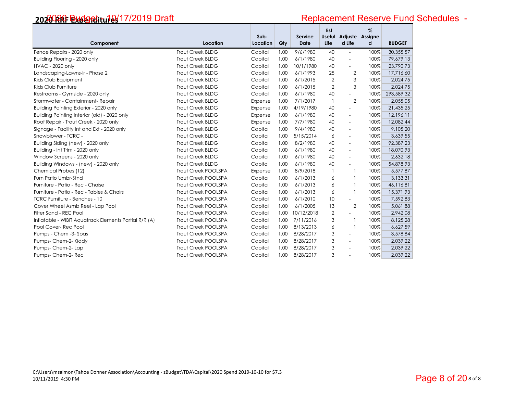| Component                                                                              | Location                   | Sub-<br>Location   | Qty          | Service<br><b>Date</b> | Est<br>Life    | Useful Adjuste<br>d Life                             | $\%$<br>Assigne<br>d | <b>BUDGET</b>         |
|----------------------------------------------------------------------------------------|----------------------------|--------------------|--------------|------------------------|----------------|------------------------------------------------------|----------------------|-----------------------|
| Fence Repairs - 2020 only                                                              | Trout Creek BLDG           | Capital            | 1.00         | 9/6/1980               | 40             | ÷,                                                   | 100%                 | 30,355.57             |
|                                                                                        | Trout Creek BLDG           |                    | 1.00         | 6/1/1980               | 40             | ÷.                                                   | 100%                 | 79,679.13             |
| Building Flooring - 2020 only                                                          | Trout Creek BLDG           | Capital            |              |                        | 40             |                                                      | 100%                 | 23,790.73             |
| <b>HVAC - 2020 only</b>                                                                | Trout Creek BLDG           | Capital            | 1.00<br>1.00 | 10/1/1980<br>6/1/1993  | 25             | L,                                                   | 100%                 | 17,716.60             |
| Landscaping-Lawns-Ir - Phase 2<br>Kids Club Equipment                                  | Trout Creek BLDG           | Capital            | 1.00         | 6/1/2015               | 2              | $\mathbf{2}$<br>3                                    | 100%                 | 2,024.75              |
| Kids Club Furniture                                                                    | Trout Creek BLDG           | Capital            | 1.00         | 6/1/2015               | $\overline{2}$ | 3                                                    | 100%                 | 2,024.75              |
| Restrooms - Gymside - 2020 only                                                        | Trout Creek BLDG           | Capital            | 1.00         | 6/1/1980               | 40             | $\sim$                                               | 100%                 | 293,589.32            |
| Stormwater - Containment- Repair                                                       | Trout Creek BLDG           | Capital            |              | 7/1/2017               | $\mathbf{1}$   | $\mathbf{2}$                                         | 100%                 |                       |
|                                                                                        | Trout Creek BLDG           | Expense            | 1.00         |                        | 40             |                                                      | 100%                 | 2,055.05<br>21,435.25 |
| Building Painting Exterior - 2020 only<br>Building Painting Interior (old) - 2020 only | Trout Creek BLDG           | Expense            | 1.00<br>1.00 | 4/19/1980<br>6/1/1980  | 40             | $\overline{\phantom{a}}$<br>$\overline{\phantom{a}}$ | 100%                 | 12,196.11             |
| Roof Repair - Trout Creek - 2020 only                                                  | Trout Creek BLDG           | Expense<br>Expense | 1.00         | 7/7/1980               | 40             | $\overline{\phantom{a}}$                             | 100%                 | 12,082.44             |
| Signage - Facility Int and Ext - 2020 only                                             | Trout Creek BLDG           | Capital            | 1.00         | 9/4/1980               | 40             | $\overline{\phantom{a}}$                             | 100%                 | 9,105.20              |
| Snowblower - TCRC -                                                                    | Trout Creek BLDG           | Capital            | 1.00         | 5/15/2014              | 6              | ÷.                                                   | 100%                 | 3,639.55              |
|                                                                                        | <b>Trout Creek BLDG</b>    | Capital            | 1.00         | 8/2/1980               | 40             | $\overline{\phantom{a}}$                             | 100%                 | 92,387.23             |
| Building Siding (new) - 2020 only<br>Building - Int Trim - 2020 only                   | Trout Creek BLDG           | Capital            | 1.00         | 6/1/1980               | 40             | $\overline{\phantom{a}}$                             | 100%                 | 18,070.93             |
| Window Screens - 2020 only                                                             | Trout Creek BLDG           | Capital            | 1.00         | 6/1/1980               | 40             | $\sim$                                               | 100%                 | 2,632.18              |
| Building Windows - (new) - 2020 only                                                   | <b>Trout Creek BLDG</b>    | Capital            | 1.00         | 6/1/1980               | 40             | $\blacksquare$                                       | 100%                 | 54,878.93             |
| Chemical Probes (12)                                                                   | <b>Trout Creek POOLSPA</b> | Expense            | 1.00         | 8/9/2018               | 1              |                                                      | 100%                 | 5,577.87              |
| Furn Patio Umbr-Stnd                                                                   | Trout Creek POOLSPA        | Capital            | 1.00         | 6/1/2013               | 6              |                                                      | 100%                 | 3,133.31              |
| Furniture - Patio - Rec - Chaise                                                       | Trout Creek POOLSPA        | Capital            | 1.00         | 6/1/2013               | 6              |                                                      | 100%                 | 46,116.81             |
| Furniture - Patio - Rec - Tables & Chairs                                              | <b>Trout Creek POOLSPA</b> | Capital            | 1.00         | 6/1/2013               | 6              |                                                      | 100%                 | 15,371.93             |
| <b>TCRC Furniture - Benches - 10</b>                                                   | <b>Trout Creek POOLSPA</b> | Capital            | 1.00         | 6/1/2010               | 10             | $\sim$                                               | 100%                 | 7,592.83              |
| Cover Wheel Asmb Reel - Lap Pool                                                       | Trout Creek POOLSPA        | Capital            | 1.00         | 6/1/2005               | 13             | $\overline{2}$                                       | 100%                 | 5,061.88              |
| Filter Sand - REC Pool                                                                 | <b>Trout Creek POOLSPA</b> | Capital            | 1.00         | 10/12/2018             | $\overline{2}$ | ÷                                                    | 100%                 | 2,942.08              |
| Inflatable - WIBIT Aquatrack Elements Partial R/R (A)                                  | Trout Creek POOLSPA        | Capital            | 1.00         | 7/11/2016              | 3              |                                                      | 100%                 | 8,125.28              |
| Pool Cover-Rec Pool                                                                    | <b>Trout Creek POOLSPA</b> | Capital            | 1.00         | 8/13/2013              | 6              |                                                      | 100%                 | 6,627.59              |
| Pumps - Chem -3- Spas                                                                  | Trout Creek POOLSPA        | Capital            | 1.00         | 8/28/2017              | 3              | ÷,                                                   | 100%                 | 3,578.84              |
| Pumps-Chem-2-Kiddy                                                                     | <b>Trout Creek POOLSPA</b> | Capital            | 1.00         | 8/28/2017              | 3              | ÷.                                                   | 100%                 | 2,039.22              |
| Pumps- Chem-2- Lap                                                                     | <b>Trout Creek POOLSPA</b> | Capital            | 1.00         | 8/28/2017              | 3              |                                                      | 100%                 | 2,039.22              |
| Pumps- Chem-2- Rec                                                                     | <b>Trout Creek POOLSPA</b> | Capital            | 1.00         | 8/28/2017              | 3              | $\overline{a}$                                       | 100%                 | 2,039.22              |
|                                                                                        |                            |                    |              |                        |                |                                                      |                      |                       |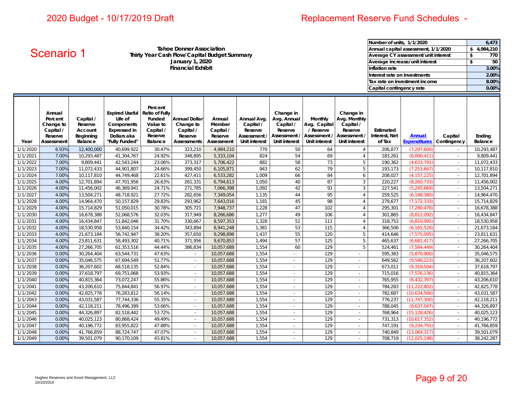# Replacement Reserve Fund Schedules -

**January 1, 2020 Financial Exhibit Tahoe Donner AssociationThirty Year Cash Flow/Capital Budget Summary Average CY assessment/unit interest** 

| Number of units, 1/1/2020           |    | 6,473     |
|-------------------------------------|----|-----------|
| Annual capital assessment, 1/1/2020 |    | 4.984.210 |
| Average CY assessment/unit interest | S  | 770       |
| Average increase/unit interest      | \$ | 50        |
| Inflation rate                      |    | 3.00%     |
| Interest rate on investments        |    | 2.00%     |
| Tax rate on investment income       |    | 8.00%     |
| Capital contingency rate            |    | 0.00%     |

| <b>I GITOR DOITIRE ASSOCIATION</b><br>Annual Capital assessment, 17172020<br>Scenario 1<br>Thirty Year Cash Flow/Capital Budget Summary<br>Average CY assessment/unit interest<br>January 1, 2020<br>Average increase/unit interest |                                                                      |                                                         |                                                                                                                |                                                                  |                                                                                 |                                                        |                                                                      |                                                                                          |                                                                       |                                                                                    |                                      |                                      | 3, 4,984,210<br>\$<br>770<br>$\sqrt{2}$<br>50 |                          |
|-------------------------------------------------------------------------------------------------------------------------------------------------------------------------------------------------------------------------------------|----------------------------------------------------------------------|---------------------------------------------------------|----------------------------------------------------------------------------------------------------------------|------------------------------------------------------------------|---------------------------------------------------------------------------------|--------------------------------------------------------|----------------------------------------------------------------------|------------------------------------------------------------------------------------------|-----------------------------------------------------------------------|------------------------------------------------------------------------------------|--------------------------------------|--------------------------------------|-----------------------------------------------|--------------------------|
|                                                                                                                                                                                                                                     |                                                                      |                                                         |                                                                                                                |                                                                  | <b>Financial Exhibit</b>                                                        |                                                        |                                                                      |                                                                                          |                                                                       |                                                                                    | Inflation rate                       |                                      |                                               | 3.00%                    |
|                                                                                                                                                                                                                                     |                                                                      |                                                         |                                                                                                                |                                                                  |                                                                                 |                                                        |                                                                      |                                                                                          |                                                                       |                                                                                    | Interest rate on investments         |                                      |                                               | 2.00%                    |
|                                                                                                                                                                                                                                     |                                                                      |                                                         |                                                                                                                |                                                                  |                                                                                 |                                                        |                                                                      |                                                                                          |                                                                       |                                                                                    |                                      | Tax rate on investment income        |                                               | 8.00%                    |
|                                                                                                                                                                                                                                     |                                                                      |                                                         |                                                                                                                |                                                                  |                                                                                 |                                                        |                                                                      |                                                                                          |                                                                       |                                                                                    | Capital contingency rate             |                                      |                                               | 0.00%                    |
|                                                                                                                                                                                                                                     |                                                                      |                                                         |                                                                                                                |                                                                  |                                                                                 |                                                        |                                                                      |                                                                                          |                                                                       |                                                                                    |                                      |                                      |                                               |                          |
| Year                                                                                                                                                                                                                                | Annual<br>Percent<br>Change to<br>Capital /<br>Reserve<br>Assessment | Capital /<br>Reserve<br>Account<br>Beginning<br>Balance | Expired Useful Ratio of Fully<br>Life of<br>Components<br><b>Expressed in</b><br>Dollars aka<br>"Fully Funded" | Percent<br>Funded<br>Value to<br>Capital /<br>Reserve<br>Balance | <b>Annual Dollar</b><br>Change to<br>Capital /<br>Reserve<br><b>Assessments</b> | Annual<br>Member<br>Capital /<br>Reserve<br>Assessment | Annual Avg.<br>Capital /<br>Reserve<br>Assessment /<br>Unit interest | Change in<br>Avg. Annual<br>Capital /<br>Reserve<br>Assessment /<br><b>Unit interest</b> | Monthly<br>Avg. Capital<br>/ Reserve<br>Assessment /<br>Unit interest | Change in<br>Avg. Monthly<br>Capital /<br>Reserve<br>Assessment /<br>Unit interest | Estimated<br>Interest, Net<br>of Tax | <b>Annual</b><br><b>Expenditures</b> | Capital<br>Contingency                        | Ending<br>Balance        |
| 1/1/2020                                                                                                                                                                                                                            | 6.93%                                                                | 12,400,000                                              | 40,699,922                                                                                                     | 30.47%                                                           | 323,210                                                                         | 4,984,210                                              | 770                                                                  | 50                                                                                       | 64                                                                    | $\overline{4}$                                                                     | 206,877                              | (7, 297, 600)                        | $\mathcal{L}$                                 | 10,293,487               |
| 1/1/2021                                                                                                                                                                                                                            | 7.00%                                                                | 10,293,487                                              | 41,304,767                                                                                                     | 24.92%                                                           | 348,895                                                                         | 5,333,104                                              | 824                                                                  | 54                                                                                       | 69                                                                    | $\overline{4}$                                                                     | 183,261                              | (6,000,411)                          | $\sim$                                        | 9,809,441                |
| 1/1/2022                                                                                                                                                                                                                            | 7.00%                                                                | 9,809,441                                               | 42,543,244                                                                                                     | 23.06%                                                           | 373,317                                                                         | 5,706,422                                              | 882                                                                  | 58                                                                                       | 73                                                                    | 5                                                                                  | 190,362                              | (4,633,791)                          | $\sim$                                        | 11,072,433               |
| 1/1/2023<br>1/1/2024                                                                                                                                                                                                                | 7.00%<br>7.00%                                                       | 11,072,433                                              | 44,901,807                                                                                                     | 24.66%                                                           | 399,450                                                                         | 6,105,871                                              | 943<br>1,009                                                         | 62<br>66                                                                                 | 79                                                                    | 5                                                                                  | 193,173                              | (7, 253, 667)                        | $\sim$                                        | 10,117,810               |
| 1/1/2025                                                                                                                                                                                                                            | 4.00%                                                                | 10,117,810<br>12,701,894                                | 44,749,468<br>47,701,956                                                                                       | 22.61%<br>26.63%                                                 | 427,411<br>261,331                                                              | 6,533,282<br>6,794,613                                 | 1,050                                                                | 40                                                                                       | 84<br>87                                                              | 6<br>$\mathbf{3}$                                                                  | 208,027<br>220,227                   | (4, 157, 225)<br>(8, 260, 733)       | $\sim$                                        | 12,701,894<br>11,456,002 |
| 1/1/2026                                                                                                                                                                                                                            | 4.00%                                                                | 11,456,002                                              | 46,369,941                                                                                                     | 24.71%                                                           | 271,785                                                                         | 7,066,398                                              | 1,092                                                                | 42                                                                                       | 91                                                                    | $\mathbf{3}$                                                                       | 227,541                              | (5, 245, 669)                        | $\sim$<br>$\sim$                              | 13,504,271               |
| 1/1/2027                                                                                                                                                                                                                            | 4.00%                                                                | 13,504,271                                              | 48,718,921                                                                                                     | 27.72%                                                           | 282,656                                                                         | 7,349,054                                              | 1,135                                                                | 44                                                                                       | 95                                                                    | $\overline{4}$                                                                     | 259,525                              | (6, 148, 380)                        | $\mathbb{Z}^{\mathbb{Z}}$                     | 14,964,470               |
| 1/1/2028                                                                                                                                                                                                                            | 4.00%                                                                | 14,964,470                                              | 50,157,829                                                                                                     | 29.83%                                                           | 293,962                                                                         | 7,643,016                                              | 1,181                                                                | 45                                                                                       | 98                                                                    | $\overline{4}$                                                                     | 279,677                              | (7, 172, 333)                        | $\sim$                                        | 15,714,829               |
| 1/1/2029                                                                                                                                                                                                                            | 4.00%                                                                | 15,714,829                                              | 51,050,015                                                                                                     | 30.78%                                                           | 305,721                                                                         | 7,948,737                                              | 1,228                                                                | 47                                                                                       | 102                                                                   | $\overline{4}$                                                                     | 295,301                              | (7, 280, 478)                        | $\mathbb{Z}^{\mathbb{Z}}$                     | 16,678,388               |
| 1/1/2030                                                                                                                                                                                                                            | 4.00%                                                                | 16,678,388                                              | 52,068,576                                                                                                     | 32.03%                                                           | 317,949                                                                         | 8,266,686                                              | 1,277                                                                | 49                                                                                       | 106                                                                   | $\overline{4}$                                                                     | 301,865                              | (8,812,092)                          | $\sim$                                        | 16,434,847               |
| 1/1/2031                                                                                                                                                                                                                            | 4.00%                                                                | 16,434,847                                              | 51,842,046                                                                                                     | 31.70%                                                           | 330,667                                                                         | 8,597,353                                              | 1,328                                                                | 51                                                                                       | 111                                                                   | $\overline{4}$                                                                     | 318,753                              | (6,819,995)                          | $\sim$                                        | 18,530,958               |
| 1/1/2032                                                                                                                                                                                                                            | 4.00%                                                                | 18,530,958                                              | 53,840,154                                                                                                     | 34.42%                                                           | 343,894                                                                         | 8,941,248                                              | 1,381                                                                | 53                                                                                       | 115                                                                   | $\overline{4}$                                                                     | 366,506                              | (6, 165, 528)                        | $\sim$                                        | 21,673,184               |
| 1/1/2033                                                                                                                                                                                                                            | 4.00%                                                                | 21,673,184                                              | 56,742,947                                                                                                     | 38.20%                                                           | 357,650                                                                         | 9,298,898                                              | 1,437                                                                | 55                                                                                       | 120                                                                   | 5                                                                                  | 414,646                              | (7,575,095)                          | $\sim$                                        | 23,811,631               |
| 1/1/2034                                                                                                                                                                                                                            | 4.00%                                                                | 23,811,631                                              | 58,493,302                                                                                                     | 40.71%                                                           | 371,956                                                                         | 9,670,853                                              | 1,494                                                                | 57                                                                                       | 125                                                                   | 5                                                                                  | 465,637                              | (6,681,417)                          | $\sim$                                        | 27,266,705               |
| 1/1/2035                                                                                                                                                                                                                            | 4.00%                                                                | 27,266,705                                              | 61,353,516                                                                                                     | 44.44%                                                           | 386,834                                                                         | 10,057,688                                             | 1,554                                                                | 60                                                                                       | 129                                                                   | 5                                                                                  | 524,461                              | (7,584,449)                          | $\sim$                                        | 30,264,404               |
| 1/1/2036                                                                                                                                                                                                                            | 0.00%                                                                | 30,264,404                                              | 63,544,731                                                                                                     | 47.63%                                                           | $\sim$                                                                          | 10,057,688                                             | 1,554                                                                | $\sim$                                                                                   | 129                                                                   | $\sim$                                                                             | 595,383                              | (5,870,900)                          | $\sim$                                        | 35,046,575               |
| 1/1/2037                                                                                                                                                                                                                            | 0.00%                                                                | 35,046,575                                              | 67,694,549                                                                                                     | 51.77%                                                           | $\sim$                                                                          | 10,057,688                                             | 1,554                                                                | $\mathcal{L}$                                                                            | 129                                                                   | $\sim$                                                                             | 649,562                              | (9,546,223)                          | $\sim$                                        | 36,207,602               |
| 1/1/2038                                                                                                                                                                                                                            | 0.00%                                                                | 36,207,602                                              | 68,518,135                                                                                                     | 52.84%                                                           | $\mathcal{L}_{\mathcal{A}}$                                                     | 10,057,688                                             | 1,554                                                                | $\mathbb{Z}^{\mathbb{Z}}$                                                                | 129                                                                   | $\mathbb{Z}^2$                                                                     | 673,011                              | (9, 319, 504)                        | $\mathbb{R}^2$                                | 37,618,797               |
| 1/1/2039                                                                                                                                                                                                                            | 0.00%                                                                | 37,618,797                                              | 69,751,068                                                                                                     | 53.93%                                                           | $\mathcal{L}$                                                                   | 10,057,688                                             | 1,554                                                                | $\mathbb{Z}^{\mathbb{Z}}$                                                                | 129                                                                   | $\mathbb{Z}^2$                                                                     | 715,016                              | (7,576,136)                          | $\sim$                                        | 40,815,364               |
| 1/1/2040                                                                                                                                                                                                                            | 0.00%                                                                | 40,815,364                                              | 73,072,247                                                                                                     | 55.86%                                                           | $\sim$                                                                          | 10,057,688                                             | 1,554                                                                | $\sim$                                                                                   | 129                                                                   | $\sim$                                                                             | 765,955                              | (8,432,397)                          | $\mathbb{R}^2$                                | 43,206,610               |
| 1/1/2041                                                                                                                                                                                                                            | 0.00%                                                                | 43,206,610                                              | 75,844,841                                                                                                     | 56.97%                                                           | $\sim$                                                                          | 10,057,688                                             | 1,554                                                                | $\sim$                                                                                   | 129                                                                   | $\sim$                                                                             | 784,283                              | (11, 222, 802)                       | $\sim$                                        | 42,825,778               |
| 1/1/2042                                                                                                                                                                                                                            | 0.00%                                                                | 42,825,778                                              | 76,283,812                                                                                                     | 56.14%                                                           | $\mathbb{Z}^2$                                                                  | 10,057,688                                             | 1,554                                                                | $\mathcal{L}^{\pm}$                                                                      | 129                                                                   | $\mathcal{L}^{\pm}$                                                                | 782,687                              | (10,634,566)                         | $\sim$                                        | 43,031,587               |
| 1/1/2043                                                                                                                                                                                                                            | 0.00%                                                                | 43,031,587                                              | 77,744,336                                                                                                     | 55.35%                                                           | $\sim$                                                                          | 10,057,688                                             | 1,554                                                                | $\sim$                                                                                   | 129                                                                   | $\sim$                                                                             | 776,237                              | (11, 747, 300)                       | $\sim$                                        | 42,118,211               |
| 1/1/2044                                                                                                                                                                                                                            | 0.00%                                                                | 42,118,211                                              | 78,496,399                                                                                                     | 53.66%                                                           | $\omega$                                                                        | 10,057,688                                             | 1,554                                                                | $\omega$                                                                                 | 129                                                                   | $\sim$                                                                             | 788,045                              | (8,637,047)                          | $\sim$                                        | 44,326,897               |
| 1/1/2045                                                                                                                                                                                                                            | 0.00%                                                                | 44,326,897                                              | 82,518,442                                                                                                     | 53.72%                                                           | $\sim$                                                                          | 10,057,688                                             | 1,554                                                                | $\sim$                                                                                   | 129                                                                   | $\sim$                                                                             | 768,964                              | (15, 128, 426)                       | $\sim$                                        | 40,025,123               |
| 1/1/2046                                                                                                                                                                                                                            | 0.00%                                                                | 40,025,123                                              | 80,868,424                                                                                                     | 49.49%                                                           | $\sim$                                                                          | 10,057,688                                             | 1,554                                                                | $\mathcal{L}^{\pm}$                                                                      | 129                                                                   | $\sim$                                                                             | 731,313                              | (10,617,352)                         | $\sim$                                        | 40,196,772               |
| 1/1/2047                                                                                                                                                                                                                            | 0.00%                                                                | 40,196,772                                              | 83,955,822                                                                                                     | 47.88%                                                           | $\sim$                                                                          | 10,057,688                                             | 1,554                                                                | $\sim$                                                                                   | 129                                                                   | $\sim$                                                                             | 747,191                              | (9, 234, 791)                        | $\sim$                                        | 41,766,859               |
| 1/1/2048                                                                                                                                                                                                                            | 0.00%                                                                | 41,766,859                                              | 88,724,747                                                                                                     | 47.07%                                                           | $\overline{\phantom{a}}$                                                        | 10,057,688                                             | 1,554                                                                | $\sim$                                                                                   | 129                                                                   | $\sim$                                                                             | 740,849                              | (13,064,317)                         | $\sim$                                        | 39,501,079               |
| 1/1/2049                                                                                                                                                                                                                            | 0.00%                                                                | 39,501,079                                              | 90,170,109                                                                                                     | 43.81%                                                           | $\mathcal{L}$                                                                   | 10,057,688                                             | 1,554                                                                | $\mathcal{L}$                                                                            | 129                                                                   | $\mathcal{L}^{\mathcal{A}}$                                                        | 708,719                              | (12,025,198)                         | $\sim$                                        | 38,242,287               |
|                                                                                                                                                                                                                                     | 10/10/2019                                                           | Hughes Reserves and Asset Management, LLC               |                                                                                                                |                                                                  |                                                                                 |                                                        |                                                                      |                                                                                          |                                                                       |                                                                                    |                                      |                                      | Page 9 of 20                                  |                          |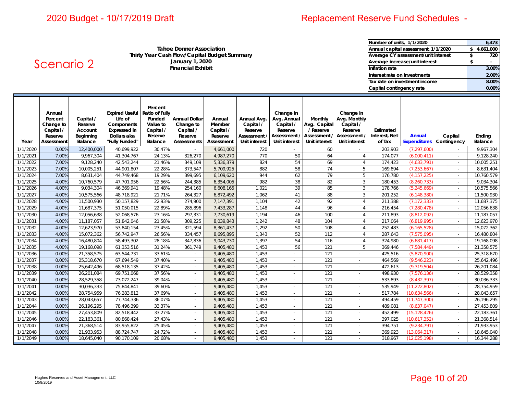Scenario 2

# Replacement Reserve Fund Schedules -

**January 1, 2020 Financial Exhibit Tahoe Donner AssociationThirty Year Cash Flow/Capital Budget Summary Average CY assessment/unit interest** 

| Number of units, 1/1/2020           | 6,473     |
|-------------------------------------|-----------|
| Annual capital assessment, 1/1/2020 | 4,661,000 |
| Average CY assessment/unit interest | 720       |
| Average increase/unit interest      |           |
| Inflation rate                      | 3.00%     |
| Interest rate on investments        | 2.00%     |
| Tax rate on investment income       | 8.00%     |
| Capital contingency rate            | 0.00%     |

| Year     | Annual<br>Percent<br>Change to<br>Capital /<br>Reserve<br>Assessment | Capital /<br>Reserve<br>Account<br>Beginning<br>Balance | Expired Useful Ratio of Fully<br>Life of<br>Components<br><b>Expressed in</b><br>Dollars aka<br>"Fully Funded" | Percent<br>Funded<br>Value to<br>Capital /<br>Reserve<br>Balance | <b>Annual Dollar</b><br>Change to<br>Capital /<br>Reserve<br><b>Assessments</b> | Annual<br>Member<br>Capital /<br>Reserve<br>Assessment | Annual Avg.<br>Capital /<br>Reserve<br>Assessment /<br><b>Unit interest</b> | Change in<br>Avg. Annual<br>Capital /<br>Reserve<br>Assessment /<br>Unit interest | Monthly<br>Avg. Capital<br>/ Reserve<br>Assessment /<br>Unit interest | Change in<br>Avg. Monthly<br>Capital /<br>Reserve<br>Assessment /<br>Unit interest | Estimated<br>Interest, Net<br>of Tax | Annual<br><b>Expenditures</b> | Capital<br>Contingency   | Ending<br>Balance |
|----------|----------------------------------------------------------------------|---------------------------------------------------------|----------------------------------------------------------------------------------------------------------------|------------------------------------------------------------------|---------------------------------------------------------------------------------|--------------------------------------------------------|-----------------------------------------------------------------------------|-----------------------------------------------------------------------------------|-----------------------------------------------------------------------|------------------------------------------------------------------------------------|--------------------------------------|-------------------------------|--------------------------|-------------------|
| 1/1/2020 | 0.00%                                                                | 12,400,000                                              | 40,699,922                                                                                                     | 30.47%                                                           |                                                                                 | 4,661,000                                              | 720                                                                         |                                                                                   | 60                                                                    |                                                                                    | 203,903                              | (7, 297, 600)                 |                          | 9,967,304         |
| 1/1/2021 | 7.00%                                                                | 9,967,304                                               | 41,304,767                                                                                                     | 24.13%                                                           | 326,270                                                                         | 4,987,270                                              | 770                                                                         | 50                                                                                | 64                                                                    | $\overline{4}$                                                                     | 174,077                              | (6,000,411)                   |                          | 9,128,240         |
| 1/1/2022 | 7.00%                                                                | 9,128,240                                               | 42,543,244                                                                                                     | 21.46%                                                           | 349,109                                                                         | 5,336,379                                              | 824                                                                         | 54                                                                                | 69                                                                    | $\overline{4}$                                                                     | 174,423                              | (4,633,791)                   | $\overline{\phantom{a}}$ | 10,005,251        |
| 1/1/2023 | 7.00%                                                                | 10,005,251                                              | 44,901,807                                                                                                     | 22.28%                                                           | 373,547                                                                         | 5,709,925                                              | 882                                                                         | 58                                                                                | 74                                                                    | 5                                                                                  | 169.894                              | (7, 253, 667)                 | $\overline{\phantom{a}}$ | 8,631,404         |
| 1/1/2024 | 7.00%                                                                | 8,631,404                                               | 44,749,468                                                                                                     | 19.29%                                                           | 399,695                                                                         | 6,109,620                                              | 944                                                                         | 62                                                                                | 79                                                                    | 5                                                                                  | 176,780                              | (4, 157, 225)                 | $\overline{a}$           | 10,760,579        |
| 1/1/2025 | 4.00%                                                                | 10,760,579                                              | 47,701,956                                                                                                     | 22.56%                                                           | 244,385                                                                         | 6,354,005                                              | 982                                                                         | 38                                                                                | 82                                                                    | 3                                                                                  | 180,453                              | (8, 260, 733)                 | $\overline{a}$           | 9,034,304         |
| 1/1/2026 | 4.00%                                                                | 9,034,304                                               | 46,369,941                                                                                                     | 19.48%                                                           | 254,160                                                                         | 6,608,165                                              | 1,021                                                                       | 39                                                                                | 85                                                                    | 3                                                                                  | 178,766                              | (5, 245, 669)                 | $\overline{\phantom{a}}$ | 10,575,566        |
| 1/1/2027 | 4.00%                                                                | 10,575,566                                              | 48,718,921                                                                                                     | 21.71%                                                           | 264,327                                                                         | 6,872,492                                              | 1,062                                                                       | 41                                                                                | 88                                                                    | 3                                                                                  | 201,252                              | (6, 148, 380)                 | $\sim$                   | 11,500,930        |
| 1/1/2028 | 4.00%                                                                | 11,500,930                                              | 50,157,829                                                                                                     | 22.93%                                                           | 274,900                                                                         | 7,147,391                                              | 1,104                                                                       | 42                                                                                | 92                                                                    | $\overline{4}$                                                                     | 211,388                              | (7, 172, 333)                 | $\sim$                   | 11,687,375        |
| 1/1/2029 | 4.00%                                                                | 11,687,375                                              | 51,050,015                                                                                                     | 22.89%                                                           | 285,896                                                                         | 7,433,287                                              | 1,148                                                                       | 44                                                                                | 96                                                                    | $\overline{4}$                                                                     | 216,454                              | (7, 280, 478)                 | $\sim$                   | 12,056,638        |
| 1/1/2030 | 4.00%                                                                | 12,056,638                                              | 52,068,576                                                                                                     | 23.16%                                                           | 297,331                                                                         | 7,730,619                                              | 1,194                                                                       | 46                                                                                | 100                                                                   | $\overline{4}$                                                                     | 211,893                              | (8,812,092)                   | $\sim$                   | 11,187,057        |
| 1/1/2031 | 4.00%                                                                | 11,187,057                                              | 51,842,046                                                                                                     | 21.58%                                                           | 309.225                                                                         | 8,039,843                                              | 1,242                                                                       | 48                                                                                | 104                                                                   | 4                                                                                  | 217.064                              | (6,819,995)                   | $\overline{a}$           | 12,623,970        |
| 1/1/2032 | 4.00%                                                                | 12,623,970                                              | 53,840,154                                                                                                     | 23.45%                                                           | 321.594                                                                         | 8.361.437                                              | 1,292                                                                       | 50                                                                                | 108                                                                   | $\overline{4}$                                                                     | 252.483                              | (6, 165, 528)                 | $\sim$                   | 15,072,362        |
| 1/1/2033 | 4.00%                                                                | 15,072,362                                              | 56,742,947                                                                                                     | 26.56%                                                           | 334,457                                                                         | 8,695,895                                              | 1,343                                                                       | 52                                                                                | 112                                                                   | $\overline{4}$                                                                     | 287,643                              | (7,575,095)                   | $\overline{a}$           | 16,480,804        |
| 1/1/2034 | 4.00%                                                                | 16,480,804                                              | 58,493,302                                                                                                     | 28.18%                                                           | 347.836                                                                         | 9,043,730                                              | 1.397                                                                       | 54                                                                                | 116                                                                   | $\overline{4}$                                                                     | 324.980                              | (6,681,417)                   | $\sim$                   | 19,168,098        |
| 1/1/2035 | 4.00%                                                                | 19,168,098                                              | 61,353,516                                                                                                     | 31.24%                                                           | 361,749                                                                         | 9,405,480                                              | 1,453                                                                       | 56                                                                                | 121                                                                   | 5                                                                                  | 369,446                              | (7,584,449)                   | $\overline{\phantom{a}}$ | 21,358,575        |
| 1/1/2036 | 0.00%                                                                | 21,358,575                                              | 63,544,731                                                                                                     | 33.61%                                                           | $\sim$                                                                          | 9,405,480                                              | 1.453                                                                       | $\overline{a}$                                                                    | 121                                                                   | $\sim$                                                                             | 425,516                              | (5,870,900)                   | $\overline{\phantom{a}}$ | 25,318,670        |
| 1/1/2037 | 0.00%                                                                | 25,318,670                                              | 67,694,549                                                                                                     | 37.40%                                                           | $\sim$                                                                          | 9,405,480                                              | 1,453                                                                       | $\sim$                                                                            | 121                                                                   | $\sim$                                                                             | 464,569                              | (9,546,223)                   | $\sim$                   | 25,642,496        |
| 1/1/2038 | 0.00%                                                                | 25,642,496                                              | 68,518,135                                                                                                     | 37.42%                                                           | $\sim$                                                                          | 9,405,480                                              | 1,453                                                                       | $\sim$                                                                            | 121                                                                   | $\overline{\phantom{a}}$                                                           | 472,613                              | (9,319,504)                   | $\sim$                   | 26,201,084        |
| 1/1/2039 | 0.00%                                                                | 26,201,084                                              | 69,751,068                                                                                                     | 37.56%                                                           | $\sim$                                                                          | 9,405,480                                              | 1,453                                                                       | $\sim$                                                                            | 121                                                                   | ÷.                                                                                 | 498,930                              | (7,576,136)                   | $\sim$                   | 28,529,358        |
| 1/1/2040 | 0.00%                                                                | 28,529,358                                              | 73,072,247                                                                                                     | 39.04%                                                           | $\sim$                                                                          | 9,405,480                                              | 1,453                                                                       | ÷                                                                                 | 121                                                                   | ÷.                                                                                 | 533,893                              | (8,432,397)                   | $\sim$                   | 30,036,333        |
| 1/1/2041 | 0.00%                                                                | 30,036,333                                              | 75,844,841                                                                                                     | 39.60%                                                           |                                                                                 | 9,405,480                                              | 1,453                                                                       |                                                                                   | 121                                                                   |                                                                                    | 535,949                              | (11, 222, 802)                | $\overline{a}$           | 28,754,959        |
| 1/1/2042 | 0.00%                                                                | 28,754,959                                              | 76,283,812                                                                                                     | 37.69%                                                           |                                                                                 | 9,405,480                                              | 1,453                                                                       |                                                                                   | 121                                                                   |                                                                                    | 517,784                              | (10,634,566)                  | ÷                        | 28,043,657        |
| 1/1/2043 | 0.00%                                                                | 28,043,657                                              | 77,744,336                                                                                                     | 36.07%                                                           |                                                                                 | 9,405,480                                              | 1.453                                                                       | $\sim$                                                                            | 121                                                                   | $\sim$                                                                             | 494,459                              | (11, 747, 300)                | $\overline{\phantom{a}}$ | 26,196,295        |
| 1/1/2044 | 0.00%                                                                | 26,196,295                                              | 78,496,399                                                                                                     | 33.37%                                                           |                                                                                 | 9,405,480                                              | 1,453                                                                       | $\sim$                                                                            | 121                                                                   | $\sim$                                                                             | 489,081                              | (8,637,047)                   | $\overline{a}$           | 27,453,809        |
| 1/1/2045 | 0.00%                                                                | 27,453,809                                              | 82,518,442                                                                                                     | 33.27%                                                           |                                                                                 | 9,405,480                                              | 1,453                                                                       | $\overline{a}$                                                                    | 121                                                                   | $\sim$                                                                             | 452,499                              | (15, 128, 426)                | ÷                        | 22,183,361        |
| 1/1/2046 | 0.00%                                                                | 22,183,361                                              | 80,868,424                                                                                                     | 27.43%                                                           |                                                                                 | 9,405,480                                              | 1,453                                                                       | $\sim$                                                                            | 121                                                                   | $\sim$                                                                             | 397,025                              | (10,617,352)                  | ÷                        | 21,368,514        |
| 1/1/2047 | 0.00%                                                                | 21,368,514                                              | 83,955,822                                                                                                     | 25.45%                                                           |                                                                                 | 9,405,480                                              | 1,453                                                                       | ٠                                                                                 | 121                                                                   | $\sim$                                                                             | 394,751                              | (9, 234, 791)                 | ٠                        | 21,933,953        |
| 1/1/2048 | 0.00%                                                                | 21,933,953                                              | 88,724,747                                                                                                     | 24.72%                                                           |                                                                                 | 9,405,480                                              | 1,453                                                                       | ٠                                                                                 | 121                                                                   | $\sim$                                                                             | 369.923                              | (13,064,317)                  |                          | 18,645,040        |
| 1/1/2049 | 0.00%                                                                | 18.645.040                                              | 90.170.109                                                                                                     | 20.68%                                                           |                                                                                 | 9.405.480                                              | 1.453                                                                       |                                                                                   | 121                                                                   |                                                                                    | 318.967                              | (12,025,198)                  |                          | 16,344,288        |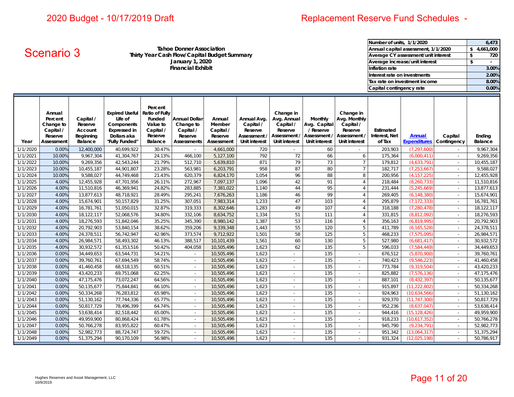# Replacement Reserve Fund Schedules -

**January 1, 2020 Financial Exhibit Tahoe Donner AssociationThirty Year Cash Flow/Capital Budget Summary Average CY assessment/unit interest** 

| Number of units, 1/1/2020           | 6,473     |
|-------------------------------------|-----------|
| Annual capital assessment, 1/1/2020 | 4,661,000 |
| Average CY assessment/unit interest | 720       |
| Average increase/unit interest      | \$        |
| Inflation rate                      | 3.00%     |
| Interest rate on investments        | 2.00%     |
| Tax rate on investment income       | 8.00%     |
| Capital contingency rate            | 0.00%     |

|                      | <b>Scenario 3</b>                                                    |                                                         |                                                                                                        |                                                                                           | Tance Donner Association<br>January 1, 2020<br><b>Financial Exhibit</b>  | Thirty Year Cash Flow/Capital Budget Summary           |                                                                      |                                                                                   |                                                                       |                                                                                           | Inflation rate<br>Interest rate on investments<br>Capital contingency rate | Annuai capital assessment, 1/1/2020<br>Average CY assessment/unit interest<br>Average increase/unit interest<br>Tax rate on investment income |                                      | ЭÞ.<br>4,661,000<br>\$<br>720<br>\$<br>3.00%<br>2.00%<br>8.00%<br>0.00% |
|----------------------|----------------------------------------------------------------------|---------------------------------------------------------|--------------------------------------------------------------------------------------------------------|-------------------------------------------------------------------------------------------|--------------------------------------------------------------------------|--------------------------------------------------------|----------------------------------------------------------------------|-----------------------------------------------------------------------------------|-----------------------------------------------------------------------|-------------------------------------------------------------------------------------------|----------------------------------------------------------------------------|-----------------------------------------------------------------------------------------------------------------------------------------------|--------------------------------------|-------------------------------------------------------------------------|
| Year                 | Annual<br>Percent<br>Change to<br>Capital /<br>Reserve<br>Assessment | Capital /<br>Reserve<br>Account<br>Beginning<br>Balance | <b>Expired Useful</b><br>Life of<br>Components<br><b>Expressed in</b><br>Dollars aka<br>'Fully Funded" | Percent<br><b>Ratio of Fully</b><br>Funded<br>Value to<br>Capital /<br>Reserve<br>Balance | <b>Annual Dollar</b><br>Change to<br>Capital /<br>Reserve<br>Assessments | Annual<br>Member<br>Capital /<br>Reserve<br>Assessment | Annual Avg.<br>Capital /<br>Reserve<br>Assessment /<br>Unit interest | Change in<br>Avg. Annual<br>Capital /<br>Reserve<br>Assessment /<br>Unit interest | Monthly<br>Avg. Capital<br>/ Reserve<br>Assessment /<br>Unit interest | Change in<br>Avg. Monthly<br>Capital /<br>Reserve<br>Assessment /<br><b>Unit interest</b> | Estimated<br>Interest, Net<br>of Tax                                       | <b>Annual</b><br><b>Expenditures</b>                                                                                                          | Capital<br>Contingency               | Ending<br>Balance                                                       |
| 1/1/2020             | 0.00%                                                                | 12,400,000                                              | 40,699,922                                                                                             | 30.47%                                                                                    |                                                                          | 4,661,000                                              | 720                                                                  |                                                                                   | 60                                                                    |                                                                                           | 203,903                                                                    | (7, 297, 600)                                                                                                                                 |                                      | 9,967,304                                                               |
| 1/1/2021             | 10.00%                                                               | 9,967,304                                               | 41,304,767                                                                                             | 24.13%                                                                                    | 466,100                                                                  | 5,127,100                                              | 792<br>871                                                           | 72<br>79                                                                          | 66<br>73                                                              | 6<br>$7\overline{ }$                                                                      | 175,364                                                                    | (6,000,411)                                                                                                                                   | $\mathcal{L}^{\pm}$<br>$\mathcal{L}$ | 9,269,356                                                               |
| 1/1/2022<br>1/1/2023 | 10.00%<br>10.00%                                                     | 9,269,356<br>10,455,187                                 | 42,543,244<br>44,901,807                                                                               | 21.79%<br>23.28%                                                                          | 512,710<br>563,981                                                       | 5,639,810<br>6,203,791                                 | 958                                                                  | 87                                                                                | 80                                                                    | $7\overline{ }$                                                                           | 179,812<br>182,717                                                         | (4,633,791)<br>(7, 253, 667)                                                                                                                  | $\mathcal{L}_{\mathcal{A}}$          | 10,455,187<br>9,588,027                                                 |
| 1/1/2024             | 10.00%                                                               | 9,588,027                                               | 44,749,468                                                                                             | 21.43%                                                                                    | 620,379                                                                  | 6,824,170                                              | 1,054                                                                | 96                                                                                | 88                                                                    | $\,8\,$                                                                                   | 200,956                                                                    | (4, 157, 225)                                                                                                                                 | $\mathcal{L}$                        | 12,455,928                                                              |
| 1/1/2025             | 4.00%                                                                | 12,455,928                                              | 47,701,956                                                                                             | 26.11%                                                                                    | 272,967                                                                  | 7,097,137                                              | 1,096                                                                | 42                                                                                | 91                                                                    | $\overline{4}$                                                                            | 218,484                                                                    | (8, 260, 733)                                                                                                                                 | $\mathcal{L}_{\mathcal{A}}$          | 11,510,816                                                              |
| 1/1/2026             | 4.00%                                                                | 11,510,816                                              | 46,369,941                                                                                             | 24.82%                                                                                    | 283,885                                                                  | 7,381,022                                              | 1,140                                                                | 44                                                                                | 95                                                                    | $\overline{4}$                                                                            | 231,444                                                                    | (5, 245, 669)                                                                                                                                 | $\sim$                               | 13,877,613                                                              |
| 1/1/2027             | 4.00%                                                                | 13,877,613                                              | 48,718,921                                                                                             | 28.49%                                                                                    | 295,241                                                                  | 7,676,263                                              | 1,186                                                                | 46                                                                                | 99                                                                    | $\overline{4}$                                                                            | 269,405                                                                    | (6, 148, 380)                                                                                                                                 | $\mathcal{L}^{\pm}$                  | 15,674,901                                                              |
| 1/1/2028             | 4.00%                                                                | 15,674,901                                              | 50,157,829                                                                                             | 31.25%                                                                                    | 307,051                                                                  | 7,983,314                                              | 1,233                                                                | 47                                                                                | 103                                                                   | $\overline{4}$                                                                            | 295,879                                                                    | (7, 172, 333)                                                                                                                                 | $\mathcal{L}_{\mathcal{A}}$          | 16,781,761                                                              |
| 1/1/2029             | 4.00%                                                                | 16,781,761                                              | 51,050,015                                                                                             | 32.87%                                                                                    | 319,333                                                                  | 8,302,646                                              | 1,283                                                                | 49                                                                                | 107                                                                   | $\overline{4}$                                                                            | 318,188                                                                    | (7, 280, 478)                                                                                                                                 | $\sim$                               | 18,122,117                                                              |
| 1/1/2030             | 4.00%                                                                | 18,122,117                                              | 52,068,576                                                                                             | 34.80%                                                                                    | 332,106                                                                  | 8,634,752                                              | 1,334                                                                | 51                                                                                | 111                                                                   | $\overline{4}$                                                                            | 331,815                                                                    | (8,812,092)                                                                                                                                   | $\sim$                               | 18,276,593                                                              |
| 1/1/2031             | 4.00%                                                                | 18,276,593                                              | 51,842,046                                                                                             | 35.25%                                                                                    | 345,390                                                                  | 8,980,142                                              | 1,387                                                                | 53                                                                                | 116                                                                   | $\overline{4}$                                                                            | 356,163                                                                    | (6,819,995)                                                                                                                                   | $\mathcal{L}$                        | 20,792,903                                                              |
| 1/1/2032             | 4.00%                                                                | 20,792,903                                              | 53,840,154                                                                                             | 38.62%                                                                                    | 359,206                                                                  | 9,339,348                                              | 1,443                                                                | 55                                                                                | 120                                                                   | 5                                                                                         | 411,789                                                                    | (6, 165, 528)                                                                                                                                 | $\sim$                               | 24,378,511                                                              |
| 1/1/2033             | 4.00%                                                                | 24,378,511                                              | 56,742,947                                                                                             | 42.96%                                                                                    | 373,574                                                                  | 9,712,922                                              | 1,501                                                                | 58                                                                                | 125                                                                   | 5                                                                                         | 468,233                                                                    | (7,575,095)                                                                                                                                   | $\mathcal{L}_{\mathcal{A}}$          | 26,984,571                                                              |
| 1/1/2034             | 4.00%                                                                | 26,984,571                                              | 58,493,302                                                                                             | 46.13%                                                                                    | 388,517                                                                  | 10,101,439                                             | 1,561                                                                | 60                                                                                | 130                                                                   | 5                                                                                         | 527,980                                                                    | (6,681,417)                                                                                                                                   | $\mathcal{L}_{\mathcal{A}}$          | 30,932,572                                                              |
| 1/1/2035             | 4.00%                                                                | 30,932,572                                              | 61,353,516                                                                                             | 50.42%                                                                                    | 404,058                                                                  | 10,505,496                                             | 1,623                                                                | 62                                                                                | 135                                                                   | 5                                                                                         | 596,033                                                                    | (7,584,449)                                                                                                                                   | $\sim$                               | 34,449,653                                                              |
| 1/1/2036             | 0.00%                                                                | 34,449,653                                              | 63,544,731                                                                                             | 54.21%                                                                                    | $\sim$                                                                   | 10,505,496                                             | 1,623                                                                | $\mathcal{L}^{\pm}$                                                               | 135                                                                   | $\sim$                                                                                    | 676,512                                                                    | (5,870,900)                                                                                                                                   | $\sim$                               | 39,760,761                                                              |
| 1/1/2037             | 0.00%                                                                | 39,760,761                                              | 67,694,549                                                                                             | 58.74%                                                                                    | $\sim$                                                                   | 10,505,496                                             | 1,623                                                                | $\sim$                                                                            | 135                                                                   | $\sim$                                                                                    | 740,423                                                                    | (9,546,223)                                                                                                                                   | $\sim$                               | 41,460,458                                                              |
| 1/1/2038             | 0.00%                                                                | 41,460,458                                              | 68,518,135                                                                                             | 60.51%                                                                                    | $\sim$                                                                   | 10,505,496                                             | 1,623                                                                | $\sim$                                                                            | 135                                                                   | $\sim$                                                                                    | 773,784                                                                    | (9, 319, 504)                                                                                                                                 | $\sim$                               | 43,420,233                                                              |
| 1/1/2039             | 0.00%                                                                | 43,420,233                                              | 69,751,068                                                                                             | 62.25%                                                                                    | $\sim$                                                                   | 10,505,496                                             | 1,623                                                                | $\mathbb{R}^2$                                                                    | 135                                                                   | $\sim$                                                                                    | 825,882                                                                    | (7,576,136)                                                                                                                                   | $\mathbb{Z}^2$                       | 47,175,476                                                              |
| 1/1/2040             | 0.00%                                                                | 47,175,476                                              | 73,072,247                                                                                             | 64.56%                                                                                    | $\sim$                                                                   | 10,505,496                                             | 1,623                                                                | $\sim$                                                                            | 135                                                                   | $\sim$                                                                                    | 887,101                                                                    | (8, 432, 397)                                                                                                                                 | $\sim$                               | 50,135,677                                                              |
| 1/1/2041             | 0.00%                                                                | 50,135,677                                              | 75,844,841                                                                                             | 66.10%                                                                                    | $\sim$                                                                   | 10,505,496                                             | 1,623                                                                | $\mathcal{L}^{\pm}$                                                               | 135                                                                   | $\sim$                                                                                    | 915,897                                                                    | (11, 222, 802)                                                                                                                                | $\mathbb{Z}^2$                       | 50,334,268                                                              |
| 1/1/2042             | 0.00%                                                                | 50,334,268                                              | 76,283,812                                                                                             | 65.98%                                                                                    | $\mathbb{Z}^2$                                                           | 10,505,496                                             | 1,623                                                                | $\mathbb{Z}^2$                                                                    | 135                                                                   | $\sim$                                                                                    | 924,963                                                                    | (10,634,566)                                                                                                                                  | $\mathbb{Z}^2$                       | 51,130,162                                                              |
| 1/1/2043             | 0.00%                                                                | 51,130,162                                              | 77,744,336                                                                                             | 65.77%                                                                                    | $\sim$                                                                   | 10,505,496                                             | 1,623                                                                | $\sim$                                                                            | 135                                                                   | $\sim$                                                                                    | 929,370                                                                    | (11, 747, 300)                                                                                                                                | $\sim$                               | 50,817,729                                                              |
| 1/1/2044             | 0.00%                                                                | 50,817,729                                              | 78,496,399                                                                                             | 64.74%                                                                                    | $\sim$                                                                   | 10,505,496                                             | 1,623                                                                | $\sim$                                                                            | 135                                                                   | $\sim$                                                                                    | 952,236                                                                    | (8,637,047)                                                                                                                                   | $\mathcal{L}_{\mathcal{A}}$          | 53,638,414                                                              |
| 1/1/2045             | 0.00%                                                                | 53,638,414                                              | 82,518,442                                                                                             | 65.00%                                                                                    | $\sim$                                                                   | 10,505,496                                             | 1,623                                                                | $\omega_{\rm c}$                                                                  | 135                                                                   | $\sim$                                                                                    | 944,416                                                                    | (15, 128, 426)                                                                                                                                | $\sim$                               | 49,959,900                                                              |
| 1/1/2046             | 0.00%                                                                | 49,959,900                                              | 80,868,424                                                                                             | 61.78%                                                                                    | $\sim$                                                                   | 10,505,496                                             | 1,623                                                                | $\mathcal{L}^{\pm}$                                                               | 135                                                                   | $\sim$                                                                                    | 918,233                                                                    | (10,617,352)                                                                                                                                  | $\sim$                               | 50,766,278                                                              |
| 1/1/2047             | 0.00%                                                                | 50,766,278                                              | 83,955,822                                                                                             | 60.47%                                                                                    | $\sim$                                                                   | 10,505,496                                             | 1,623                                                                | $\sim$                                                                            | 135                                                                   | $\sim$                                                                                    | 945,790                                                                    | (9, 234, 791)                                                                                                                                 | $\mathbb{R}^2$                       | 52,982,773                                                              |
| 1/1/2048             | 0.00%                                                                | 52,982,773                                              | 88,724,747                                                                                             | 59.72%                                                                                    | $\overline{\phantom{a}}$                                                 | 10,505,496                                             | 1,623                                                                | $\sim$                                                                            | 135                                                                   | $\sim$                                                                                    | 951,342                                                                    | (13,064,317)                                                                                                                                  | $\sim$                               | 51,375,294                                                              |
| 1/1/2049             | 0.00%                                                                | 51,375,294                                              | 90,170,109                                                                                             | 56.98%                                                                                    | $\mathcal{L}$                                                            | 10,505,496                                             | 1,623                                                                | $\mathbb{Z}^2$                                                                    | 135                                                                   | $\sim$                                                                                    | 931,324                                                                    | (12,025,198)                                                                                                                                  | $\mathcal{L}$                        | 50,786,917                                                              |
|                      | 10/9/2019                                                            | Hughes Reserves and Asset Management, LLC               |                                                                                                        |                                                                                           |                                                                          |                                                        |                                                                      |                                                                                   |                                                                       |                                                                                           |                                                                            |                                                                                                                                               | Page 11 of 20                        |                                                                         |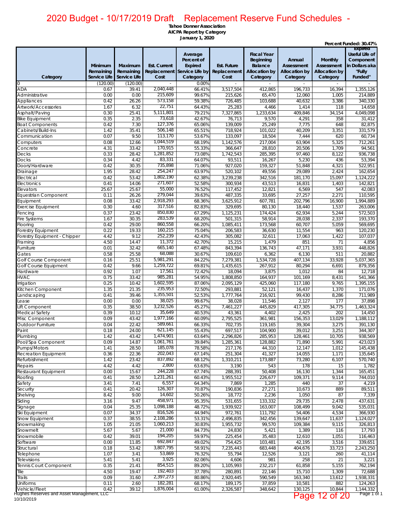|                                                            | Minimum<br>Remaining | Maximum<br>Remaining | <b>Est. Current</b>    | Average<br>Percent of<br><b>Expired</b><br>Replacement Service Life by | Est. Future<br>Replacement | <b>Fiscal Year</b><br>Beginning<br><b>Balance</b><br><b>Allocation by</b> | Annual<br><b>Assessment</b><br><b>Allocation by</b> | Monthly<br><b>Assessment</b><br><b>Allocation by</b> | Percent Funded: 30.47%<br><b>Expired</b><br><b>Useful Life of</b><br>Component<br>in Dollars aka<br>"Fully |
|------------------------------------------------------------|----------------------|----------------------|------------------------|------------------------------------------------------------------------|----------------------------|---------------------------------------------------------------------------|-----------------------------------------------------|------------------------------------------------------|------------------------------------------------------------------------------------------------------------|
| Category                                                   | Service Life         | Service Life         | Cost                   | Category                                                               | Cost                       | Category                                                                  | Category                                            | Category                                             | Funded"                                                                                                    |
| $\Omega$                                                   | (120.00)             | (120.00)             |                        | 0.00%                                                                  |                            |                                                                           |                                                     |                                                      |                                                                                                            |
| ADA<br>Administrative                                      | 0.67<br>0.00         | 39.41<br>0.00        | 2,040,448<br>215,609   | 66.41%<br>99.67%                                                       | 3,517,504<br>215,626       | 412,865<br>65,470                                                         | 196,733<br>12,060                                   | 16,394<br>1,005                                      | 1,355,126<br>214,889                                                                                       |
| Appliances                                                 | 0.42                 | 26.26                | 573,158                | 59.38%                                                                 | 726,485                    | 103,688                                                                   | 40,632                                              | 3,386                                                | 340,330                                                                                                    |
| Artwork/Accessories                                        | 1.67                 | 6.32                 | 22,751                 | 64.43%                                                                 | 25,283                     | 4,466                                                                     | 1,414                                               | 118                                                  | 14,658                                                                                                     |
| Asphalt/Paving                                             | 0.30                 | 25.41                | 5,111,801              | 79.21%                                                                 | 7,327,865                  | 1,233,634                                                                 | 409,846                                             | 34,154                                               | 4,049,098                                                                                                  |
| <b>Bike Equipment</b>                                      | 0.35                 | 2.35                 | 73,618                 | 42.67%                                                                 | 76,713                     | 9,570                                                                     | 4,291                                               | 358                                                  | 31,412                                                                                                     |
| <b>Boat Components</b>                                     | 0.42                 | 7.30                 | 127,376                | 65.06%                                                                 | 139,009                    | 25,249                                                                    | 7,775                                               | 648                                                  | 82,875                                                                                                     |
| Cabinets/Build-Ins                                         | 1.42<br>0.07         | 35.41                | 506,148<br>113,170     | 65.51%                                                                 | 718,924                    | 101,022                                                                   | 40,209                                              | 3,351                                                | 331,579                                                                                                    |
| Communication<br>Computers                                 | 0.08                 | 9.50<br>12.66        | 1,044,519              | 53.67%<br>68.19%                                                       | 133,097<br>1,142,576       | 18,504<br>217,004                                                         | 7,444<br>63,904                                     | 620<br>5,325                                         | 60,734<br>712,261                                                                                          |
| Concrete                                                   | 4.31                 | 33.42                | 170,915                | 55.33%                                                                 | 366,647                    | 28,810                                                                    | 20,506                                              | 1,709                                                | 94,561                                                                                                     |
| Decks                                                      | 0.33                 | 28.42                | 1,281,852              | 73.08%                                                                 | 1,742,543                  | 285,395                                                                   | 97,460                                              | 8,122                                                | 936,738                                                                                                    |
| <b>Docks</b>                                               | 0.34                 | 4.42                 | 83,331                 | 64.07%                                                                 | 93,511                     | 16,267                                                                    | 5,230                                               | 436                                                  | 53,394                                                                                                     |
| Doors/Hardware                                             | 0.42                 | 30.35                | 735,898                | 71.06%                                                                 | 927.020                    | 159,327                                                                   | 51,848                                              | 4,321                                                | 522,951                                                                                                    |
| Drainage                                                   | 1.95                 | 28.42                | 254,247                | 63.97%                                                                 | 520,102                    | 49,556                                                                    | 29,089                                              | 2,424                                                | 162,654                                                                                                    |
| Electrical                                                 | 0.42                 | 53.42                | 1,802,190<br>271,607   | 62.38%                                                                 | 3,239,238                  | 342,516                                                                   | 181,170                                             | 15,097                                               | 1,124,222                                                                                                  |
| Electronics<br>Elevators                                   | 0.41<br>25.67        | 14.06<br>25.67       | 55,000                 | 52.58%<br>76.52%                                                       | 300,934<br>117,452         | 43,513<br>12,821                                                          | 16,831<br>6,569                                     | 1,403<br>547                                         | 142,821<br>42,083                                                                                          |
| Equestrian Component                                       | 0.11                 | 26.26                | 279,044                | 39.63%                                                                 | 487,335                    | 33,695                                                                    | 27,257                                              | 2,271                                                | 110,595                                                                                                    |
| Equipment                                                  | 0.08                 | 33.42                | 2,918,293              | 68.36%                                                                 | 3,625,912                  | 607,781                                                                   | 202,796                                             | 16,900                                               | 1,994,889                                                                                                  |
| Exercise Equipment                                         | 0.30                 | 4.60                 | 317,516                | 82.83%                                                                 | 329,695                    | 80,130                                                                    | 18,440                                              | 1,537                                                | 263,006                                                                                                    |
| Fencing                                                    | 0.37                 | 23.42                | 850,830                | 67.29%                                                                 | 1,125,231                  | 174,424                                                                   | 62,934                                              | 5,244                                                | 572,503                                                                                                    |
| Fire Systems                                               | 1.67                 | 30.35                | 283,539                | 68.20%                                                                 | 501,315                    | 58,914                                                                    | 28,038                                              | 2,337                                                | 193,370                                                                                                    |
| Flooring                                                   | 0.42                 | 29.00                | 860,558                | 66.20%                                                                 | 1,085,411                  | 173,568                                                                   | 60,707                                              | 5,059                                                | 569,695                                                                                                    |
| Forestry Equipment                                         | 0.22                 | 19.33                | 160,215<br>252,239     | 75.04%                                                                 | 206,583                    | 36,630                                                                    | 11,554                                              | 963                                                  | 120,230                                                                                                    |
| Forestry Equipment - Chipper<br>Framing                    | 4.42<br>4.50         | 9.12<br>14.47        | 11,372                 | 42.43%<br>42.70%                                                       | 305,082<br>15,215          | 32,611<br>1,479                                                           | 17,063<br>851                                       | 1,422<br>71                                          | 107,037<br>4,856                                                                                           |
| Furniture                                                  | 0.01                 | 32.42                | 665,140                | 67.48%                                                                 | 843,394                    | 136,743                                                                   | 47,171                                              | 3,931                                                | 448,826                                                                                                    |
| Gates                                                      | 0.58                 | 25.58                | 68,088                 | 30.67%                                                                 | 109,610                    | 6,362                                                                     | 6,130                                               | 511                                                  | 20,882                                                                                                     |
| Golf Course Component                                      | 0.16                 | 25.51                | 5,981,291              | 84.22%                                                                 | 7,279,381                  | 1,534,728                                                                 | 407,134                                             | 33,928                                               | 5,037,365                                                                                                  |
| Golf Course Equipment                                      | 0.42                 | 9.66                 | 1,259,722              | 69.81%                                                                 | 1,435,615                  | 267,912                                                                   | 80,294                                              | 6,691                                                | 879,356                                                                                                    |
| Hardware                                                   | 0.92                 | 1.07                 | 17,561                 | 72.42%                                                                 | 18,094                     | 3,875                                                                     | 1,012                                               | 84                                                   | 12,718                                                                                                     |
| <b>HVAC</b>                                                | 0.75                 | 33.42                | 985,281                | 54.95%                                                                 | 1,808,850                  | 164,937                                                                   | 101,169                                             | 8,431                                                | 541,366                                                                                                    |
| Irrigation                                                 | 0.25<br>1.35         | 10.42                | 1,602,595<br>235,953   | 87.06%                                                                 | 2,095,129                  | 425,060                                                                   | 117,180                                             | 9,765                                                | 1,395,155                                                                                                  |
| Kitchen Component<br>andscaping                            | 0.41                 | 21.35<br>39.46       | 1,355,501              | 72.50%<br>52.53%                                                       | 293,881<br>1,777,764       | 52,121<br>216,921                                                         | 16,437<br>99,430                                    | 1,370<br>8,286                                       | 171,076<br>711,989                                                                                         |
| ease                                                       | 0.00                 | 0.00                 | 38,025                 | 99.67%                                                                 | 38,028                     | 11,546                                                                    | 2,127                                               | 177                                                  | 37,898                                                                                                     |
| Lift Component                                             | 0.35                 | 38.50                | 3,232,526              | 45.27%                                                                 | 7,461,227                  | 445,829                                                                   | 417,305                                             | 34,775                                               | 1,463,324                                                                                                  |
| Medical Safety                                             | 0.39                 | 10.12                | 35,649                 | 40.53%                                                                 | 43,361                     | 4,402                                                                     | 2,425                                               | 202                                                  | 14,450                                                                                                     |
| Misc Component                                             | 0.09                 | 43.42                | 1,977,166              | 60.09%                                                                 | 2,795,525                  | 361,981                                                                   | 156,353                                             | 13,029                                               | 1,188,112                                                                                                  |
| Outdoor Furniture                                          | 0.04                 | 22.42                | 589,661                | 66.33%                                                                 | 702,735                    | 119,165                                                                   | 39,304                                              | 3,275                                                | 391,130                                                                                                    |
| Paint                                                      | 0.18                 | 24.00                | 621,145                | 55.43%                                                                 | 697,517                    | 104,900                                                                   | 39,012                                              | 3,251                                                | 344,307                                                                                                    |
| Plumbing<br>Pool/Spa Component                             | 1.42<br>0.09         | 43.42<br>14.87       | 1,474,901<br>1,061,761 | 63.64%<br>39.84%                                                       | 2,296,826<br>1,285,361     | 285,953<br>128,882                                                        | 128,461<br>71,890                                   | 10,705<br>5,991                                      | 938,569<br>423,023                                                                                         |
| Pumps/Motors                                               | 1.41                 | 28.50                | 185,078                | 78.58%                                                                 | 217,176                    | 44,310                                                                    | 12,147                                              | 1,012                                                | 145,438                                                                                                    |
| Recreation Equipment                                       | 0.36                 | 22.36                | 202,043                | 67.14%                                                                 | 251,304                    | 41,327                                                                    | 14,055                                              | 1,171                                                | 135,645                                                                                                    |
| Refurbishment                                              | 1.42                 | 23.42                | 837,892                | 68.12%                                                                 | 1,310,211                  | 173,887                                                                   | 73,280                                              | 6,107                                                | 570,740                                                                                                    |
| Repairs                                                    | 4.42                 | 4.42                 | 2,800                  | 63.63%                                                                 | 3,190                      | 543                                                                       | 178                                                 | 15                                                   | 1,782                                                                                                      |
| Restaurant Equipment                                       | 0.00                 | 15.67                | 244,228                | 67.74%                                                                 | 288,391                    | 50,408                                                                    | 16,130                                              | 1,344                                                | 165,451                                                                                                    |
| Roofing                                                    | 0.41                 | 28.50                | 1,231,261              | 60.43%                                                                 | 1,955,512                  | 226,677                                                                   | 109,371                                             | 9,114                                                | 744,010                                                                                                    |
| Safety                                                     | 3.41                 | 7.41                 | 6,557<br>126,307       | 64.34%<br>70.87%                                                       | 7,869                      | 1,285                                                                     | 440                                                 | 37<br>889                                            | 4,219                                                                                                      |
| Security<br>Shelving                                       | 0.41<br>8.42         | 20.42<br>9.00        | 14,602                 | 50.26%                                                                 | 190,836<br>18,772          | 27,271<br>2,236                                                           | 10,673<br>1,050                                     | 87                                                   | 89,511<br>7,339                                                                                            |
| Siding                                                     | 3.16                 | 9.47                 | 458,971                | 95.35%                                                                 | 531,655                    | 133,332                                                                   | 29,735                                              | 2,478                                                | 437,631                                                                                                    |
| Signage                                                    | 0.04                 | 25.35                | 1,098,188              | 48.72%                                                                 | 1,939,922                  | 163,007                                                                   | 108,499                                             | 9,042                                                | 535,031                                                                                                    |
| Ski Equipment                                              | 0.07                 | 34.37                | 816,526                | 44.94%                                                                 | 972,761                    | 111,792                                                                   | 54,406                                              | 4,534                                                | 366,930                                                                                                    |
| Snow Equipment                                             | 0.37                 | 38.55                | 2,108,286              | 53.31%                                                                 | 2,496,835                  | 342,456                                                                   | 139,647                                             | 11,637                                               | 1,124,027                                                                                                  |
| Snowmaking                                                 | 1.05                 | 21.05                | 1,060,213              | 30.83%                                                                 | 1,955,732                  | 99,570                                                                    | 109,384                                             | 9,115                                                | 326,813                                                                                                    |
| Snowmelt                                                   | 5.67                 | 5.67                 | 21,000                 | 84.73%                                                                 | 24,830                     | 5,421                                                                     | 1,389                                               | 116                                                  | 17,793                                                                                                     |
| Snowmobile                                                 | 0.42                 | 39.01                | 194,205                | 59.97%                                                                 | 225,454                    | 35,483                                                                    | 12,610                                              | 1,051                                                | 116,463                                                                                                    |
| Software<br>Structural                                     | 0.00<br>0.18         | 11.85<br>53.42       | 692,847<br>3,807,795   | 49.02%<br>58.91%                                                       | 754,425<br>7,235,443       | 103,481<br>683,448                                                        | 42,195<br>404,676                                   | 3,516<br>33,723                                      | 339,651<br>2,243,250                                                                                       |
| Telephone                                                  | 1.07                 | 3.41                 | 53,869                 | 76.32%                                                                 | 55,794                     | 12,526                                                                    | 3,121                                               | 260                                                  | 41,114                                                                                                     |
| Televisions                                                | 5.41                 | 5.41                 | 3,925                  | 82.06%                                                                 | 4,606                      | 981                                                                       | 258                                                 | 21                                                   | 3,221                                                                                                      |
| Tennis Court Component                                     | 0.35                 | 21.41                | 854,515                | 89.20%                                                                 | 1,105,993                  | 232,217                                                                   | 61,858                                              | 5,155                                                | 762,194                                                                                                    |
| Tile                                                       | 4.50                 | 19.47                | 192,403                | 37.78%                                                                 | 280,891                    | 22,146                                                                    | 15,710                                              | 1,309                                                | 72,688                                                                                                     |
| Trails                                                     | 0.09                 | 31.60                | 2,397,273              | 80.86%                                                                 | 2,920,445                  | 590,549                                                                   | 163,340                                             | 13,612                                               | 1,938,331                                                                                                  |
| Uniforms                                                   | 0.11                 | 2.60                 | 182,281                | 68.17%                                                                 | 189,175                    | 37,859                                                                    | 10,581                                              | 882                                                  | 124,263                                                                                                    |
| Vehicle/Fleet<br>Hughes Reserves and Asset Management, LLC | 0.42                 | 39.12                | 1,876,004              | 61.00%                                                                 | 2,326,587                  | 348,642                                                                   | 130,125                                             | 10,844                                               | 1,144,332                                                                                                  |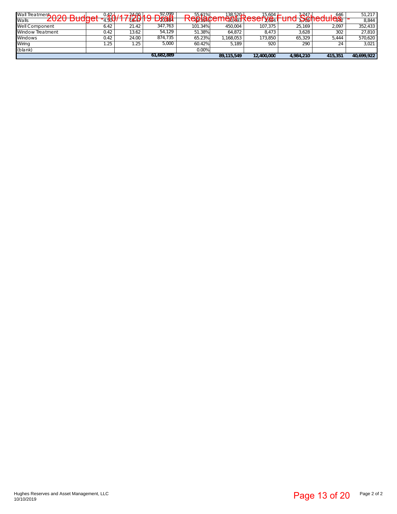|                   | Wall Treatment 2020 Budget -0.420/        |  |      |       | 1772019 Drait    |                 |            | Replacements Reserver | <del>ันnd <sup>7247</sup> hedule\$</del> |               | 51,217<br>8,844 |
|-------------------|-------------------------------------------|--|------|-------|------------------|-----------------|------------|-----------------------|------------------------------------------|---------------|-----------------|
| Well Component    |                                           |  | 6.42 | 21.42 | 347,763          | 101.34%         | 450,004    | 107,375               | 25,169                                   | 2,097         | 352,433         |
|                   | Window Treatment                          |  | 0.42 | 13.62 | 54,129           | 51.38%          | 64,872     | 8,473                 | 3,628                                    | 302           | 27,810          |
| Windows           |                                           |  | 0.42 | 24.00 | 874,735<br>5,000 | 65.23%          | 1,168,053  | 173,850               | 65,329                                   | 5,444         | 570,620         |
| Wiring<br>(blank) |                                           |  | 1.25 | 1.25  |                  | 60.42%<br>0.00% | 5,189      | 920                   | 290                                      | 24            | 3,021           |
|                   |                                           |  |      |       | 61,682,889       |                 | 89,115,549 | 12,400,000            | 4,984,210                                | 415,351       | 40,699,922      |
|                   |                                           |  |      |       |                  |                 |            |                       |                                          |               |                 |
|                   |                                           |  |      |       |                  |                 |            |                       |                                          |               |                 |
|                   |                                           |  |      |       |                  |                 |            |                       |                                          |               |                 |
|                   |                                           |  |      |       |                  |                 |            |                       |                                          |               |                 |
|                   |                                           |  |      |       |                  |                 |            |                       |                                          |               |                 |
|                   |                                           |  |      |       |                  |                 |            |                       |                                          |               |                 |
|                   |                                           |  |      |       |                  |                 |            |                       |                                          |               |                 |
|                   |                                           |  |      |       |                  |                 |            |                       |                                          |               |                 |
|                   |                                           |  |      |       |                  |                 |            |                       |                                          |               |                 |
|                   |                                           |  |      |       |                  |                 |            |                       |                                          |               |                 |
|                   |                                           |  |      |       |                  |                 |            |                       |                                          |               |                 |
|                   |                                           |  |      |       |                  |                 |            |                       |                                          |               |                 |
|                   |                                           |  |      |       |                  |                 |            |                       |                                          |               |                 |
|                   |                                           |  |      |       |                  |                 |            |                       |                                          |               |                 |
|                   |                                           |  |      |       |                  |                 |            |                       |                                          |               |                 |
|                   |                                           |  |      |       |                  |                 |            |                       |                                          |               |                 |
|                   |                                           |  |      |       |                  |                 |            |                       |                                          |               |                 |
|                   |                                           |  |      |       |                  |                 |            |                       |                                          |               |                 |
|                   |                                           |  |      |       |                  |                 |            |                       |                                          |               |                 |
|                   |                                           |  |      |       |                  |                 |            |                       |                                          |               |                 |
|                   |                                           |  |      |       |                  |                 |            |                       |                                          |               |                 |
|                   |                                           |  |      |       |                  |                 |            |                       |                                          |               |                 |
|                   |                                           |  |      |       |                  |                 |            |                       |                                          |               |                 |
|                   |                                           |  |      |       |                  |                 |            |                       |                                          |               |                 |
|                   |                                           |  |      |       |                  |                 |            |                       |                                          |               |                 |
|                   |                                           |  |      |       |                  |                 |            |                       |                                          |               |                 |
|                   |                                           |  |      |       |                  |                 |            |                       |                                          |               |                 |
|                   |                                           |  |      |       |                  |                 |            |                       |                                          |               |                 |
|                   |                                           |  |      |       |                  |                 |            |                       |                                          |               |                 |
|                   |                                           |  |      |       |                  |                 |            |                       |                                          |               |                 |
|                   |                                           |  |      |       |                  |                 |            |                       |                                          |               |                 |
|                   |                                           |  |      |       |                  |                 |            |                       |                                          |               |                 |
|                   |                                           |  |      |       |                  |                 |            |                       |                                          |               |                 |
|                   |                                           |  |      |       |                  |                 |            |                       |                                          |               |                 |
|                   |                                           |  |      |       |                  |                 |            |                       |                                          |               |                 |
|                   |                                           |  |      |       |                  |                 |            |                       |                                          |               |                 |
|                   |                                           |  |      |       |                  |                 |            |                       |                                          |               |                 |
|                   |                                           |  |      |       |                  |                 |            |                       |                                          |               |                 |
|                   |                                           |  |      |       |                  |                 |            |                       |                                          |               |                 |
|                   |                                           |  |      |       |                  |                 |            |                       |                                          |               |                 |
|                   |                                           |  |      |       |                  |                 |            |                       |                                          |               |                 |
|                   |                                           |  |      |       |                  |                 |            |                       |                                          |               |                 |
|                   |                                           |  |      |       |                  |                 |            |                       |                                          |               |                 |
|                   |                                           |  |      |       |                  |                 |            |                       |                                          |               |                 |
|                   |                                           |  |      |       |                  |                 |            |                       |                                          |               |                 |
|                   |                                           |  |      |       |                  |                 |            |                       |                                          |               |                 |
|                   |                                           |  |      |       |                  |                 |            |                       |                                          |               |                 |
|                   |                                           |  |      |       |                  |                 |            |                       |                                          |               |                 |
|                   |                                           |  |      |       |                  |                 |            |                       |                                          |               |                 |
|                   |                                           |  |      |       |                  |                 |            |                       |                                          |               |                 |
|                   |                                           |  |      |       |                  |                 |            |                       |                                          |               |                 |
|                   |                                           |  |      |       |                  |                 |            |                       |                                          |               |                 |
|                   |                                           |  |      |       |                  |                 |            |                       |                                          |               |                 |
|                   |                                           |  |      |       |                  |                 |            |                       |                                          |               |                 |
|                   |                                           |  |      |       |                  |                 |            |                       |                                          |               |                 |
|                   |                                           |  |      |       |                  |                 |            |                       |                                          |               |                 |
|                   |                                           |  |      |       |                  |                 |            |                       |                                          |               |                 |
| 0/10/2019         | lughes Reserves and Asset Management, LLC |  |      |       |                  |                 |            |                       |                                          | Page 13 of 20 | Page 2 o        |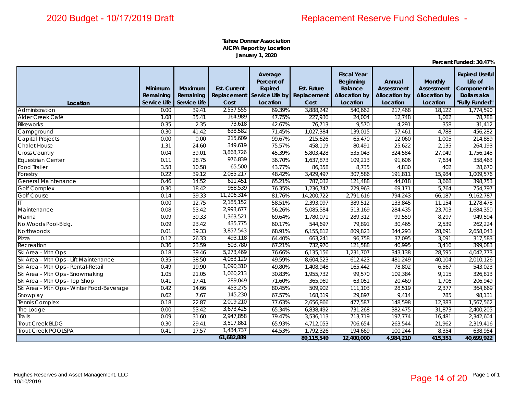**Tahoe Donner Association AICPA Report by Location January 1, 2020**

|                                           | Minimum                   | Maximum                   | <b>Est. Current</b> | Average<br>Percent of<br>Expired                    | <b>Est. Future</b> | <b>Fiscal Year</b><br>Beginning<br><b>Balance</b> | Annual<br><b>Assessment</b>      | <b>Monthly</b><br><b>Assessment</b> | <b>Expired Useful</b><br>Life of<br>Component in |
|-------------------------------------------|---------------------------|---------------------------|---------------------|-----------------------------------------------------|--------------------|---------------------------------------------------|----------------------------------|-------------------------------------|--------------------------------------------------|
| Location                                  | Remaining<br>Service Life | Remaining<br>Service Life | Cost                | Replacement Service Life by Replacement<br>Location | Cost               | <b>Allocation by</b><br>Location                  | <b>Allocation by</b><br>Location | <b>Allocation by</b><br>Location    | Dollars aka<br>"Fully Funded"                    |
| Administration                            | 0.00                      | 39.41                     | 2,557,555           | 69.39%                                              | 3,888,242          | 540,662                                           | 217,468                          | 18,122                              | 1,774,590                                        |
| Alder Creek Café                          | 1.08                      | 35.41                     | 164,989             | 47.75%                                              | 227,936            | 24,004                                            | 12,748                           | 1,062                               | 78,788                                           |
| <b>Bikeworks</b>                          | 0.35                      | 2.35                      | 73,618              | 42.67%                                              | 76,713             | 9,570                                             | 4,291                            | 358                                 | 31,412                                           |
| Campground                                | 0.30                      | 41.42                     | 638,582             | 71.45%                                              | 1,027,384          | 139,015                                           | 57,461                           | 4,788                               | 456,282                                          |
| Capital Projects                          | 0.00                      | 0.00                      | 215,609             | 99.67%                                              | 215,626            | 65,470                                            | 12,060                           | 1,005                               | 214,889                                          |
| <b>Chalet House</b>                       | 1.31                      | 24.60                     | 349,619             | 75.57%                                              | 458,119            | 80,491                                            | 25,622                           | 2,135                               | 264,193                                          |
| <b>Cross Country</b>                      | 0.04                      | 39.01                     | 3,868,726           | 45.39%                                              | 5,803,428          | 535,043                                           | 324,584                          | 27,049                              | 1,756,145                                        |
| Equestrian Center                         | 0.11                      | 28.75                     | 976,839             | 36.70%                                              | 1,637,873          | 109,213                                           | 91,606                           | 7,634                               | 358,463                                          |
| Food Trailer                              | 3.58                      | 10.58                     | 65,500              | 43.77%                                              | 86,358             | 8,735                                             | 4,830                            | 402                                 | 28,670                                           |
| Forestry                                  | 0.22                      | 39.12                     | 2,085,217           | 48.42%                                              | 3,429,497          | 307,586                                           | 191,811                          | 15,984                              | 1,009,576                                        |
| General Maintenance                       | 0.46                      | 14.52                     | 611,451             | 65.21%                                              | 787,032            | 121,488                                           | 44,018                           | 3,668                               | 398,753                                          |
| <b>Golf Complex</b>                       | 0.30                      | 18.42                     | 988,539             | 76.35%                                              | 1,236,747          | 229,963                                           | 69,171                           | 5,764                               | 754,797                                          |
| <b>Golf Course</b>                        | 0.14                      | 39.33                     | 11,206,314          | 81.76%                                              | 14,200,722         | 2,791,616                                         | 794,243                          | 66,187                              | 9,162,787                                        |
|                                           | 0.00                      | 12.75                     | 2,185,152           | 58.51%                                              | 2,393,097          | 389,512                                           | 133,845                          | 11,154                              | 1,278,478                                        |
| Maintenance                               | 0.08                      | 53.42                     | 2,993,677           | 56.26%                                              | 5,085,584          | 513,169                                           | 284,435                          | 23,703                              | 1,684,350                                        |
| Marina                                    | 0.09                      | 39.33                     | 1,363,521           | 69.64%                                              | 1,780,071          | 289,312                                           | 99,559                           | 8,297                               | 949,594                                          |
| No. Woods Pool-Bldg.                      | 0.09                      | 23.42                     | 435,775             | 60.17%                                              | 544,697            | 79,891                                            | 30,465                           | 2,539                               | 262,224                                          |
| Northwoods                                | 0.01                      | 39.33                     | 3,857,543           | 68.91%                                              | 6,155,812          | 809,823                                           | 344,293                          | 28,691                              | 2,658,043                                        |
| Pizza                                     | 0.12                      | 26.33                     | 493,118             | 64.40%                                              | 663,241            | 96,758                                            | 37,095                           | 3,091                               | 317,583                                          |
| Recreation                                | 0.36                      | 23.59                     | 593,780             | 67.21%                                              | 732,970            | 121,588                                           | 40,995                           | 3,416                               | 399,083                                          |
| Ski Area - Mtn Ops                        | 0.18                      | 39.46                     | 5,273,469           | 76.66%                                              | 6,135,156          | 1,231,707                                         | 343,138                          | 28,595                              | 4,042,773                                        |
| Ski Area - Mtn Ops - Lift Maintenance     | 0.35                      | 38.50                     | 4,053,129           | 49.59%                                              | 8,604,523          | 612,423                                           | 481,249                          | 40,104                              | 2,010,126                                        |
| Ski Area - Mtn Ops - Rental-Retail        | 0.49                      | 19.90                     | 1,090,310           | 49.80%                                              | 1,408,948          | 165,442                                           | 78,802                           | 6,567                               | 543,023                                          |
| Ski Area - Mtn Ops - Snowmaking           | 1.05                      | 21.05                     | 1,060,213           | 30.83%                                              | 1,955,732          | 99,570                                            | 109,384                          | 9,115                               | 326,813                                          |
| Ski Area - Mtn Ops - Top Shop             | 0.41                      | 17.41                     | 289,049             | 71.60%                                              | 365,969            | 63,051                                            | 20,469                           | 1,706                               | 206,949                                          |
| Ski Area - Mtn Ops - Winter Food-Beverage | 0.42                      | 14.66                     | 453,275             | 80.45%                                              | 509,902            | 111,103                                           | 28,519                           | 2,377                               | 364,669                                          |
| Snowplay                                  | 0.62                      | 7.67                      | 145,230             | 67.57%                                              | 168,319            | 29,897                                            | 9,414                            | 785                                 | 98,131                                           |
| Tennis Complex                            | 0.18                      | 22.87                     | 2,019,210           | 77.63%                                              | 2,656,866          | 477,587                                           | 148,598                          | 12,383                              | 1,567,562                                        |
| The Lodge                                 | 0.00                      | 53.42                     | 3,673,425           | 65.34%                                              | 6,838,492          | 731,268                                           | 382,475                          | 31,873                              | 2,400,205                                        |
| <b>Trails</b>                             | 0.09                      | 31.60                     | 2,947,858           | 79.47%                                              | 3,536,113          | 713,719                                           | 197,774                          | 16,481                              | 2,342,604                                        |
| Trout Creek BLDG                          | 0.30                      | 29.41                     | 3,517,861           | 65.93%                                              | 4,712,053          | 706,654                                           | 263,544                          | 21,962                              | 2,319,416                                        |
| Trout Creek POOLSPA                       | 0.41                      | 17.57                     | 1,434,737           | 44.53%                                              | 1,792,326          | 194,669                                           | 100,244                          | 8,354                               | 638,954                                          |
|                                           |                           |                           | 61,682,889          |                                                     | 89,115,549         | 12,400,000                                        | 4,984,210                        | 415,351                             | 40,699,922                                       |

**Percent Funded: 30.47%**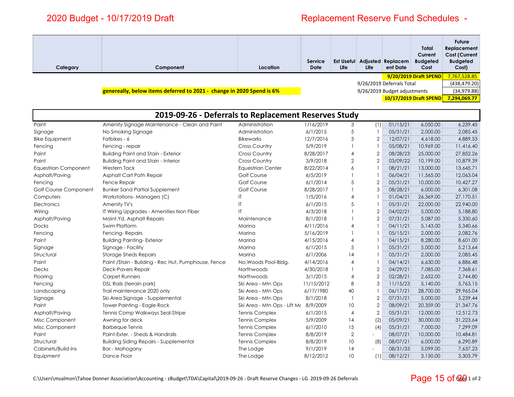**Structural** 

Paint

Decks

Paint

Paint

Structural

## Replacement Reserve Fund Schedules -

| Category                    | Component                                                             | Location                 | Service<br><b>Date</b> | <b>Est Useful</b><br>Life | Life | Adjusted Replacem<br>ent Date | Total<br>Current<br><b>Budgeted</b><br>Cost | <b>Future</b><br>Replacement<br><b>Cost (Current</b><br><b>Budgeted</b><br>Cost) |
|-----------------------------|-----------------------------------------------------------------------|--------------------------|------------------------|---------------------------|------|-------------------------------|---------------------------------------------|----------------------------------------------------------------------------------|
|                             |                                                                       |                          |                        |                           |      |                               | 9/20/2019 Draft SPEND                       | 7,767,528.85                                                                     |
|                             |                                                                       |                          |                        |                           |      | 9/26/2019 Deferrals Total     |                                             | (438, 479.20)                                                                    |
|                             | genereally, below items deferred to 2021 - change in 2020 Spend is 6% |                          |                        |                           |      | 9/26/2019 Budget adjustments  |                                             | (34, 979.88)                                                                     |
|                             |                                                                       |                          |                        |                           |      |                               | 10/17/2019 Draft SPEND                      | 7,294,069.77                                                                     |
|                             |                                                                       |                          |                        |                           |      |                               |                                             |                                                                                  |
|                             | 2019-09-26 - Deferrals to Replacement Reserves Study                  |                          |                        |                           |      |                               |                                             |                                                                                  |
| Paint                       | Amenity Signage Maintenance - Clean and Paint                         | Administration           | 1/16/2019              | 3                         | (1)  | 01/15/21                      | 6,050.00                                    | 6,239.45                                                                         |
| Signage                     | No Smoking Signage                                                    | Administration           | 6/1/2015               | 5                         |      | 05/31/21                      | 2,000.00                                    | 2,085.45                                                                         |
| <b>Bike Equipment</b>       | Fatbikes - 6                                                          | <b>Bikeworks</b>         | 12/7/2016              | 3                         |      | 12/07/21                      | 4.618.00                                    | 4,889.53                                                                         |
| Fencing                     | Fencing - repair                                                      | <b>Cross Country</b>     | 5/9/2019               |                           |      | 05/08/21                      | 10,969.00                                   | 11,416.40                                                                        |
| Paint                       | <b>Building Paint and Stain - Exterior</b>                            | <b>Cross Country</b>     | 8/28/2017              | 4                         |      | 08/28/23                      | 25,000.00                                   | 27,852.26                                                                        |
| Paint                       | <b>Building Paint and Stain - Interior</b>                            | <b>Cross Country</b>     | 3/9/2018               | 2                         | 2    | 03/09/22                      | 10,199.00                                   | 10,879.39                                                                        |
| <b>Equestrian Component</b> | <b>Western Tack</b>                                                   | <b>Equestrian Center</b> | 8/22/2014              | 6                         |      | 08/21/21                      | 13,000.00                                   | 13,645.71                                                                        |
| Asphalt/Paving              | Asphalt Cart Path Repair                                              | Golf Course              | 6/5/2019               |                           |      | 06/04/21                      | 11,565.00                                   | 12,063.04                                                                        |
| Fencing                     | <b>Fence Repair</b>                                                   | <b>Golf Course</b>       | 6/1/2014               | 5                         |      | 05/31/21                      | 10,000.00                                   | 10,427.27                                                                        |
| Golf Course Component       | <b>Bunker Sand Partial Supplement</b>                                 | <b>Golf Course</b>       | 8/28/2017              |                           | 3    | 08/28/21                      | 6,000.00                                    | 6,301.08                                                                         |
| Computers                   | <b>Workstations-Managers (C)</b>                                      | ΙT                       | 1/5/2016               | 4                         |      | 01/04/21                      | 26,369.00                                   | 27,170.51                                                                        |
| Electronics                 | Amenity TV's                                                          | IT                       | 6/1/2015               | 5                         |      | 05/31/21                      | 22,000.00                                   | 22,940.00                                                                        |
| Wiring                      | IT Wiring Upgrades - Amenities Non Fiber                              |                          | 4/3/2018               |                           |      | 04/02/21                      | 5,000.00                                    | 5,188.80                                                                         |
| Asphalt/Paving              | Maint.Yd. Asphalt Repairs                                             | Maintenance              | 8/1/2018               |                           | 2    | 07/31/21                      | 5,087.00                                    | 5,330.60                                                                         |
| <b>Docks</b>                | Swim Platform                                                         | Marina                   | 4/11/2016              | 4                         |      | 04/11/21                      | 5,143.00                                    | 5,340.66                                                                         |
| Fencing                     | Fencing-Repairs                                                       | Marina                   | 5/16/2019              |                           |      | 05/15/21                      | 2,000.00                                    | 2.082.76                                                                         |
| Paint                       | <b>Building Painting-Exterior</b>                                     | Marina                   | 4/15/2016              |                           |      | 04/15/21                      | 8,280,00                                    | 8,601.00                                                                         |

Signage Signage - Facility Marina 6/1/2015 5 1 05/31/21 5,000.00 5,213.64

Asphalt/Paving Tennis Comp Walkways Seal-Stripe Tennis Complex 6/1/2015 4 2 05/31/21 12,000.00 12,512.73 Misc Component Awning for deck Tennis Complex 5/9/2009 14 (2) 05/09/21 30,000.00 31,223.64 Misc Component Barbeque Tennis Tennis Complex 6/1/2010 15 (4) 05/31/21 7,000.00 7,299.09

Cabinets/Build-Ins Bar - Mahogany The Lodge 9/1/2019 14 - 08/31/33 5,099.00 7,637.23 Equipment Dance Floor The Lodge 8/12/2012 10 (1) 08/12/21 3,150.00 3,303.79

s Deck-Pavers Repair Northwoods 4/30/2018 1 2 | 04/29/21| 7,085.00 | 7,368.61 Flooring Carpet Runners Northwoods 3/1/2015 4 2 02/28/21 2,652.00 2,744.80 Fencing DSL Rails (terrain park) Ski Area - Mtn Ops 11/15/2012 8 3 11/15/23 5,140.00 5,763.15 Landscaping Trail maintenance 2020 only Ski Area - Mtn Ops 6/17/1980 40 1 06/17/21 28,700.00 29,965.04 Signage Ski Area Signage - Supplemental Ski Area - Mtn Ops 8/1/2018 1 2 07/31/21 5,000.00 5,239.44

Storage Sheds Repairs **12.000.00** Marina 6/1/2006 14 1 05/31/21 2,000.00 2,085.45

Paint /Stain - Building - Rec Hut, Pumphouse, Fence No.Woods Pool-Bldg. 4/14/2016 4 1 04/14/21 6,630.00 6,886.48

Tower Painting - Eagle Rock **Ski Area - Mtn Ops - Lift Mc 8/9/2009** 10 2 08/09/21 20,359.00 21,347.76

Building Siding Repairs - Supplemental Tennis Complex 8/8/2019 10 (8) 08/07/21 6,000.00 6,290.89

Tennis Complex 8/8/2019 2 - 08/07/21 10,000.00 10,484.81

Paint-Exter. - Sheds & Handrails

#### Page 15 of 2010f2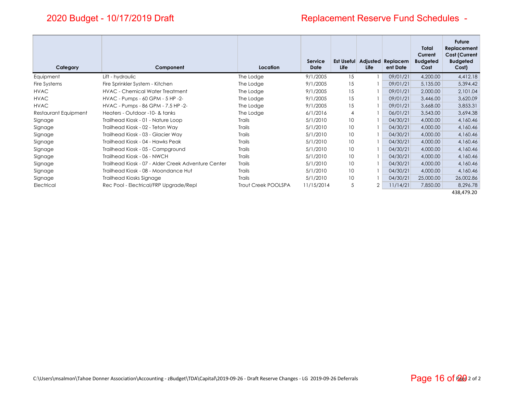# Replacement Reserve Fund Schedules -

| Category             | Component                                           | Location            | <b>Service</b><br><b>Date</b> | <b>Est Useful</b><br><b>Life</b> | <b>Adjusted</b><br>Life | Replacem<br>ent Date | <b>Total</b><br>Current<br><b>Budgeted</b><br>Cost | <b>Future</b><br>Replacement<br><b>Cost (Current</b><br><b>Budgeted</b><br>Cost) |
|----------------------|-----------------------------------------------------|---------------------|-------------------------------|----------------------------------|-------------------------|----------------------|----------------------------------------------------|----------------------------------------------------------------------------------|
| Equipment            | Lift - hydraulic                                    | The Lodge           | 9/1/2005                      | 15                               |                         | 09/01/21             | 4,200.00                                           | 4,412.18                                                                         |
| Fire Systems         | Fire Sprinkler System - Kitchen                     | The Lodge           | 9/1/2005                      | 15                               |                         | 09/01/21             | 5,135.00                                           | 5,394.42                                                                         |
| <b>HVAC</b>          | <b>HVAC - Chemical Water Treatment</b>              | The Lodge           | 9/1/2005                      | 15                               |                         | 09/01/21             | 2,000.00                                           | 2,101.04                                                                         |
| <b>HVAC</b>          | HVAC - Pumps - 60 GPM - 5 HP -2-                    | The Lodge           | 9/1/2005                      | 15                               |                         | 09/01/21             | 3,446.00                                           | 3,620.09                                                                         |
| <b>HVAC</b>          | HVAC - Pumps - 86 GPM - 7.5 HP -2-                  | The Lodge           | 9/1/2005                      | 15                               |                         | 09/01/21             | 3,668.00                                           | 3,853.31                                                                         |
| Restaurant Equipment | Heaters - Outdoor -10- & tanks                      | The Lodge           | 6/1/2016                      | $\overline{4}$                   |                         | 06/01/21             | 3,543.00                                           | 3,694.38                                                                         |
| Signage              | Trailhead Kiosk - 01 - Nature Loop                  | Trails              | 5/1/2010                      | 10                               |                         | 04/30/21             | 4,000.00                                           | 4,160.46                                                                         |
| Signage              | Trailhead Kiosk - 02 - Teton Way                    | Trails              | 5/1/2010                      | 10                               |                         | 04/30/21             | 4,000.00                                           | 4,160.46                                                                         |
| Signage              | Trailhead Kiosk - 03 - Glacier Way                  | <b>Trails</b>       | 5/1/2010                      | 10 <sup>°</sup>                  |                         | 04/30/21             | 4,000.00                                           | 4,160.46                                                                         |
| Signage              | Trailhead Kiosk - 04 - Hawks Peak                   | Trails              | 5/1/2010                      | 10 <sup>°</sup>                  |                         | 04/30/21             | 4,000.00                                           | 4,160.46                                                                         |
| Signage              | Trailhead Kiosk - 05 - Campground                   | Trails              | 5/1/2010                      | 10 <sup>°</sup>                  |                         | 04/30/21             | 4,000.00                                           | 4,160.46                                                                         |
| Signage              | Trailhead Kiosk - 06 - NWCH                         | Trails              | 5/1/2010                      | 10 <sup>°</sup>                  |                         | 04/30/21             | 4,000.00                                           | 4,160.46                                                                         |
| Signage              | Trailhead Kiosk - 07 - Alder Creek Adventure Center | <b>Trails</b>       | 5/1/2010                      | 10 <sup>2</sup>                  |                         | 04/30/21             | 4,000.00                                           | 4,160.46                                                                         |
| Signage              | Trailhead Kiosk - 08 - Moondance Hut                | Trails              | 5/1/2010                      | 10 <sup>°</sup>                  |                         | 04/30/21             | 4,000.00                                           | 4,160.46                                                                         |
| Signage              | Trailhead Kiosks Signage                            | Trails              | 5/1/2010                      | 10                               |                         | 04/30/21             | 25,000.00                                          | 26,002.86                                                                        |
| Electrical           | Rec Pool - Electrical/FRP Upgrade/Repl              | Trout Creek POOLSPA | 11/15/2014                    | 5                                | $\overline{2}$          | 11/14/21             | 7,850.00                                           | 8,296.78                                                                         |
|                      |                                                     |                     |                               |                                  |                         |                      |                                                    | 438,479.20                                                                       |

C:\Users\msalmon\Tahoe Donner Association\Accounting ‐ zBudget\TDA\Capital\2019‐09‐26 ‐ Draft Reserve Changes ‐ LG 2019‐09‐26 Deferrals Page 2 of 2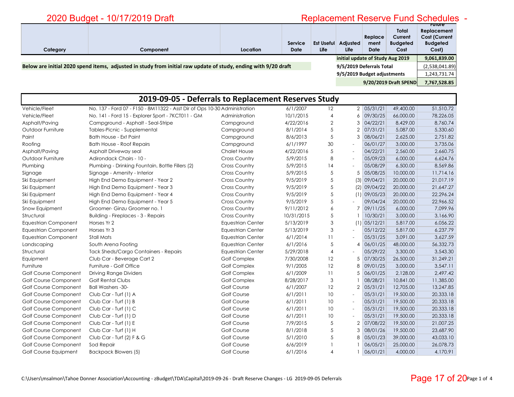# <u>t</u> Replacement Reserve Fund Schedules - Replacement Reserve Fund Schedules -

| Category              | Component                                                                                                      | Location                         | <b>Service</b><br><b>Date</b> | <b>Est Useful</b><br>Life | Adjusted<br>Life            | Replace<br>ment<br><b>Date</b> | Total<br>Current<br><b>Budgeted</b><br>Cost | <u>ruiuie</u><br>Replacement<br><b>Cost (Current</b><br><b>Budgeted</b><br>Cost) |
|-----------------------|----------------------------------------------------------------------------------------------------------------|----------------------------------|-------------------------------|---------------------------|-----------------------------|--------------------------------|---------------------------------------------|----------------------------------------------------------------------------------|
|                       |                                                                                                                | initial update of Study Aug 2019 |                               |                           | 9,061,839.00                |                                |                                             |                                                                                  |
|                       | Below are initial 2020 spend items, adjusted in study from initial raw update of study, ending with 9/20 draft |                                  |                               |                           | 9/5/2019 Deferrals Total    |                                |                                             | (2,538,041.89)                                                                   |
|                       |                                                                                                                |                                  |                               |                           | 9/5/2019 Budget adjustments |                                |                                             | 1,243,731.74                                                                     |
| 9/20/2019 Draft SPEND |                                                                                                                |                                  |                               |                           |                             | 7,767,528.85                   |                                             |                                                                                  |

|                             | 2019-09-05 - Deferrals to Replacement Reserves Study                      |                          |            |                 |                |                |           |           |
|-----------------------------|---------------------------------------------------------------------------|--------------------------|------------|-----------------|----------------|----------------|-----------|-----------|
| Vehicle/Fleet               | No. 137 - Ford 07 - F150 - 8M11322 - Asst Dir of Ops 10-30 Administration |                          | 6/1/2007   | 12              |                | 2 05/31/21     | 49,400.00 | 51,510.72 |
| Vehicle/Fleet               | No. 141 - Ford 15 - Explorer Sport - 7KCT011 - GM                         | Administration           | 10/1/2015  | $\overline{4}$  | 6              | 09/30/25       | 66,000.00 | 78,226.05 |
| Asphalt/Paving              | Campground - Asphalt - Seal-Stripe                                        | Campground               | 4/22/2016  | $\mathbf{2}$    | 3              | 04/22/21       | 8,429.00  | 8,760.74  |
| Outdoor Furniture           | Tables-Picnic - Supplemental                                              | Campground               | 8/1/2014   | 5               | 2              | 07/31/21       | 5,087.00  | 5,330.60  |
| Paint                       | Bath House - Ext Paint                                                    | Campground               | 8/6/2013   | 5               | 3              | 08/06/21       | 2,625.00  | 2,751.82  |
| Roofing                     | <b>Bath House - Roof Repairs</b>                                          | Campground               | 6/1/1997   | 30              |                | 06/01/27       | 3,000.00  | 3,735.06  |
| Asphalt/Paving              | Asphalt Driveway seal                                                     | <b>Chalet House</b>      | 4/22/2016  | 5               | $\sim$         | 04/22/21       | 2,560.00  | 2,660.75  |
| Outdoor Furniture           | Adirondack Chairs - 10 -                                                  | <b>Cross Country</b>     | 5/9/2015   | 8               | $\sim$         | 05/09/23       | 6,000.00  | 6,624.76  |
| Plumbing                    | Plumbing - Drinking Fountain, Bottle Fillers (2)                          | <b>Cross Country</b>     | 5/9/2015   | 14              | $\blacksquare$ | 05/08/29       | 6,500.00  | 8,569.86  |
| Signage                     | Signage - Amenity - Interior                                              | <b>Cross Country</b>     | 5/9/2015   | 5               | 5              | 05/08/25       | 10,000.00 | 11,714.16 |
| Ski Equipment               | High End Demo Equipment - Year 2                                          | <b>Cross Country</b>     | 9/5/2019   | 5               | (3)            | 09/04/21       | 20,000.00 | 21,017.19 |
| Ski Equipment               | High End Demo Equipment - Year 3                                          | <b>Cross Country</b>     | 9/5/2019   | 5               | (2)            | 09/04/22       | 20,000.00 | 21,647.27 |
| Ski Equipment               | High End Demo Equipment - Year 4                                          | Cross Country            | 9/5/2019   | 5               |                | $(1)$ 09/05/23 | 20,000.00 | 22,296.24 |
| Ski Equipment               | High End Demo Equipment - Year 5                                          | <b>Cross Country</b>     | 9/5/2019   | 5               | $\sim$         | 09/04/24       | 20,000.00 | 22,966.52 |
| Snow Equipment              | Groomer- Ginzu Groomer no. 1                                              | <b>Cross Country</b>     | 9/11/2012  | 6               | 7              | 09/11/25       | 6,000.00  | 7,099.96  |
| Structural                  | <b>Building - Fireplaces - 3 - Repairs</b>                                | <b>Cross Country</b>     | 10/31/2015 | 5               |                | 10/30/21       | 3,000.00  | 3,166.90  |
| <b>Equestrian Component</b> | Horses Yr 2                                                               | <b>Equestrian Center</b> | 5/13/2019  | 3               |                | $(1)$ 05/12/21 | 5,817.00  | 6,056.22  |
| <b>Equestrian Component</b> | Horses Yr 3                                                               | <b>Equestrian Center</b> | 5/13/2019  | 3               | $\blacksquare$ | 05/12/22       | 5,817.00  | 6,237.79  |
| <b>Equestrian Component</b> | <b>Stall Mats</b>                                                         | <b>Equestrian Center</b> | 6/1/2014   | 11              |                | 05/31/25       | 3,091.00  | 3,627.59  |
| Landscaping                 | South Arena Footing                                                       | <b>Equestrian Center</b> | 6/1/2016   | 5               | 4              | 06/01/25       | 48,000.00 | 56,332.73 |
| Structural                  | <b>Tack Sheds/Cargo Containers - Repairs</b>                              | <b>Equestrian Center</b> | 5/29/2018  | 4               | $\sim$         | 05/29/22       | 3,300.00  | 3,543.30  |
| Equipment                   | Club Car - Beverage Cart 2                                                | Golf Complex             | 7/30/2008  | 12              | 5              | 07/30/25       | 26,500.00 | 31,249.21 |
| Furniture                   | Furniture - Golf Office                                                   | <b>Golf Complex</b>      | 9/1/2005   | 12              | 8              | 09/01/25       | 3,000.00  | 3,547.11  |
| Golf Course Component       | <b>Driving Range Dividers</b>                                             | <b>Golf Complex</b>      | 6/1/2009   | $\overline{11}$ | 5              | 06/01/25       | 2,128.00  | 2,497.42  |
| Golf Course Component       | <b>Golf Rental Clubs</b>                                                  | <b>Golf Complex</b>      | 8/28/2017  | 3               |                | 08/28/21       | 10,841.00 | 11,385.00 |
| Golf Course Component       | <b>Ball Washers -30-</b>                                                  | <b>Golf Course</b>       | 6/1/2007   | 12              | 2              | 05/31/21       | 12,705.00 | 13,247.85 |
| Golf Course Component       | Club Car - Turf (1) A                                                     | Golf Course              | 6/1/2011   | 10              | $\sim$         | 05/31/21       | 19,500.00 | 20,333.18 |
| Golf Course Component       | Club Car - Turf (1) B                                                     | <b>Golf Course</b>       | 6/1/2011   | 10              | $\sim$         | 05/31/21       | 19,500.00 | 20,333.18 |
| Golf Course Component       | Club Car - Turf (1) C                                                     | Golf Course              | 6/1/2011   | 10              | $\sim$         | 05/31/21       | 19,500.00 | 20,333.18 |
| Golf Course Component       | Club Car - Turf (1) D                                                     | <b>Golf Course</b>       | 6/1/2011   | 10              | $\blacksquare$ | 05/31/21       | 19,500.00 | 20,333.18 |
| Golf Course Component       | Club Car - Turf (1) E                                                     | <b>Golf Course</b>       | 7/9/2015   | 5               | 2              | 07/08/22       | 19,500.00 | 21,007.25 |
| Golf Course Component       | Club Car - Turf (1) H                                                     | <b>Golf Course</b>       | 8/1/2018   | 5               | 3              | 08/01/26       | 19,500.00 | 23,687.90 |
| Golf Course Component       | Club Car - Turf (2) F & G                                                 | Golf Course              | 5/1/2010   | 5               | 8              | 05/01/23       | 39,000.00 | 43,033.10 |
| Golf Course Component       | Sod Repair                                                                | <b>Golf Course</b>       | 6/6/2019   |                 |                | 06/05/21       | 25,000.00 | 26,078.73 |
| Golf Course Equipment       | <b>Backpack Blowers (5)</b>                                               | <b>Golf Course</b>       | 6/1/2016   | 4               |                | 06/01/21       | 4,000.00  | 4,170.91  |

#### Page 17 of 20Page 1 of 4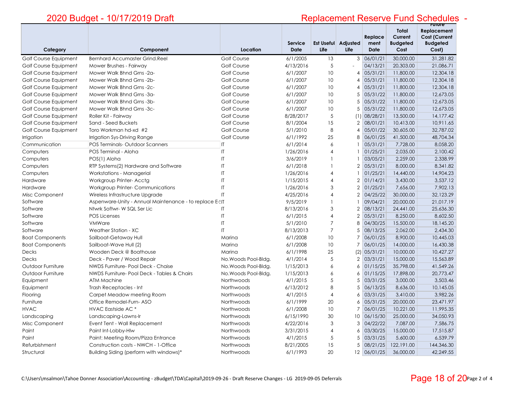# **Future**  Replacement Reserve Fund Schedules -

| Category               | Component                                              | Location               | Service<br><b>Date</b> | Life           | Est Useful Adjusted<br>Life | Replace<br>ment<br><b>Date</b> | <b>Total</b><br>Current<br><b>Budgeted</b><br>Cost | Replacement<br><b>Cost (Current</b><br><b>Budgeted</b><br>Cost) |
|------------------------|--------------------------------------------------------|------------------------|------------------------|----------------|-----------------------------|--------------------------------|----------------------------------------------------|-----------------------------------------------------------------|
| Golf Course Equipment  | <b>Bernhard Accumaster Grind.Reel</b>                  | Golf Course            | 6/1/2005               | 13             |                             | 3 06/01/21                     | 30,000.00                                          | 31,281.82                                                       |
| Golf Course Equipment  | Mower Brushes - Fairway                                | Golf Course            | 4/13/2016              | 5              | $\overline{a}$              | 04/13/21                       | 20,303.00                                          | 21,086.71                                                       |
| Golf Course Equipment  | Mower Walk Bhnd Grns -2a-                              | <b>Golf Course</b>     | 6/1/2007               | 10             | 4                           | 05/31/21                       | 11,800.00                                          | 12,304.18                                                       |
| Golf Course Equipment  | Mower Walk Bhnd Grns -2b-                              | <b>Golf Course</b>     | 6/1/2007               | 10             | 4                           | 05/31/21                       | 11,800.00                                          | 12,304.18                                                       |
| Golf Course Equipment  | Mower Walk Bhnd Grns -2c-                              | Golf Course            | 6/1/2007               | 10             | 4                           | 05/31/21                       | 11,800.00                                          | 12,304.18                                                       |
| Golf Course Equipment  | Mower Walk Bhnd Grns -3a-                              | Golf Course            | 6/1/2007               | 10             | 5                           | 05/31/22                       | 11,800.00                                          | 12,673.05                                                       |
| Golf Course Equipment  | Mower Walk Bhnd Grns - 3b-                             | Golf Course            | 6/1/2007               | 10             | 5                           | 05/31/22                       | 11,800.00                                          | 12,673.05                                                       |
| Golf Course Equipment  | Mower Walk Bhnd Grns -3c-                              | <b>Golf Course</b>     | 6/1/2007               | 10             | 5                           | 05/31/22                       | 11,800.00                                          | 12.673.05                                                       |
| Golf Course Equipment  | Roller Kit - Fairway                                   | Golf Course            | 8/28/2017              | 5              | (1)                         | 08/28/21                       | 13,500.00                                          | 14,177.42                                                       |
| Golf Course Equipment  | Sand - Seed Buckets                                    | Golf Course            | 8/1/2004               | 15             | $\overline{2}$              | 08/01/21                       | 10,413.00                                          | 10.911.65                                                       |
| Golf Course Equipment  | Toro Workman hd-xd #2                                  | <b>Golf Course</b>     | 5/1/2010               | 8              | ⊿                           | 05/01/22                       | 30,605.00                                          | 32,787.02                                                       |
| Irrigation             | Irrigation Sys-Driving Range                           | <b>Golf Course</b>     | 6/1/1992               | 25             | 8                           | 06/01/25                       | 41,500.00                                          | 48,704.34                                                       |
| Communication          | <b>POS Terminals-Outdoor Scanners</b>                  | $\mathsf{I}\mathsf{T}$ | 6/1/2014               | 6              | $\mathbf{1}$                | 05/31/21                       | 7,728.00                                           | 8,058.20                                                        |
| Computers              | POS Terminal - Aloha                                   | $\mathsf{I}$           | 1/26/2016              | $\overline{4}$ |                             | 01/25/21                       | 2,035.00                                           | 2.100.42                                                        |
| Computers              | POS(1) Aloha                                           | $\mathsf{I}\mathsf{T}$ | 3/6/2019               | $\mathbf{1}$   |                             | 03/05/21                       | 2,259.00                                           | 2,338.99                                                        |
| Computers              | RTP Systems(2) Hardware and Software                   | $\mathsf{I}$           | 6/1/2018               | $\mathbf{1}$   | $\overline{2}$              | 05/31/21                       | 8,000.00                                           | 8.341.82                                                        |
| Computers              | Workstations - Managerial                              | $\mathsf{I}\mathsf{T}$ | 1/26/2016              | 4              | $\mathbf{1}$                | 01/25/21                       | 14,440.00                                          | 14,904.23                                                       |
| Hardware               | Workgroup Printer-Acctg                                | $\mathsf{I}$           | 1/15/2015              | $\overline{4}$ | $\overline{2}$              | 01/14/21                       | 3,430.00                                           | 3.537.12                                                        |
| Hardware               | <b>Workgroup Printer- Communications</b>               | $\mathsf{I}\mathsf{T}$ | 1/26/2016              | 3              | $\overline{2}$              | 01/25/21                       | 7,656.00                                           | 7,902.13                                                        |
| Misc Component         | Wireless Infrastructure Upgrade                        | $\mathsf{I}$           | 4/25/2016              | $\overline{4}$ | $\overline{2}$              | 04/25/22                       | 30,000.00                                          | 32,123.29                                                       |
| Software               | Aspenware-Unity - Annual Maintenance - to replace E-IT |                        | 9/5/2019               | $\mathbf{1}$   |                             | 09/04/21                       | 20,000.00                                          | 21.017.19                                                       |
| Software               | Ntwrk Softwr-WSQL Ser Lic                              | $\mathsf{I}\mathsf{T}$ | 8/13/2016              | 3              | $\overline{2}$              | 08/13/21                       | 24,441.00                                          | 25,636.30                                                       |
| Software               | <b>POS Licenses</b>                                    | $\sf I\sf T$           | 6/1/2015               | $\overline{4}$ | $\overline{2}$              | 05/31/21                       | 8,250.00                                           | 8,602.50                                                        |
| Software               | <b>VMWare</b>                                          | $\mathsf{I}$           | 5/1/2010               | $\overline{7}$ | 8                           | 04/30/25                       | 15,500.00                                          | 18,145.20                                                       |
| Software               | Weather Station - XC                                   | IT                     | 8/13/2013              | $\overline{7}$ | 5                           | 08/13/25                       | 2,062.00                                           | 2,434.30                                                        |
| <b>Boat Components</b> | Sailboat-Getaway Hull                                  | Marina                 | 6/1/2008               | 10             | 7                           | 06/01/25                       | 8,900.00                                           | 10,445.03                                                       |
| <b>Boat Components</b> | Sailboat-Wave Hull (2)                                 | Marina                 | 6/1/2008               | 10             | 7                           | 06/01/25                       | 14,000.00                                          | 16,430.38                                                       |
| Decks                  | Wooden Deck @ Boathouse                                | Marina                 | 6/1/1998               | 25             | (2)                         | 05/31/21                       | 10,000.00                                          | 10,427.27                                                       |
| <b>Decks</b>           | Deck - Paver / Wood Repair                             | No. Woods Pool-Bldg.   | 4/1/2014               | 5              | $\overline{2}$              | 03/31/21                       | 15,000.00                                          | 15,563.89                                                       |
| Outdoor Furniture      | NWDS Furniture- Pool Deck - Chaise                     | No. Woods Pool-Bldg.   | 1/15/2013              | 6              | $\epsilon$                  | 01/15/25                       | 35,798.00                                          | 41,549.26                                                       |
| Outdoor Furniture      | NWDS Furniture- Pool Deck - Tables & Chairs            | No. Woods Pool-Bldg.   | 1/15/2013              | 6              | 6                           | 01/15/25                       | 17,898.00                                          | 20,773.47                                                       |
| Equipment              | ATM Machine                                            | Northwoods             | 4/1/2015               | 5              | 5                           | 03/31/25                       | 3,000.00                                           | 3,503.46                                                        |
| Equipment              | Trash Receptacles - Int                                | Northwoods             | 6/13/2012              | 8              | 5                           | 06/13/25                       | 8,636.00                                           | 10,145.05                                                       |
| Flooring               | Carpet Meadow meeting Room                             | Northwoods             | 4/1/2015               | $\overline{4}$ | $\epsilon$                  | 03/31/25                       | 3,410.00                                           | 3.982.26                                                        |
| Furniture              | Office Remodel-Furn-ASO                                | Northwoods             | 6/1/1999               | 20             | 6                           | 05/31/25                       | 20,000.00                                          | 23,471.97                                                       |
| <b>HVAC</b>            | HVAC Eastside AC <sup>*</sup>                          | Northwoods             | 6/1/2008               | 10             | 7                           | 06/01/25                       | 10,221.00                                          | 11,995.35                                                       |
| Landscaping            | Landscaping-Lawns-Ir                                   | Northwoods             | 6/15/1990              | 30             | 10                          | 06/15/30                       | 25,000.00                                          | 34,050.93                                                       |
| Misc Component         | Event Tent - Wall Replacement                          | Northwoods             | 4/22/2016              | 3              | 3                           | 04/22/22                       | 7,087.00                                           | 7.586.75                                                        |
| Paint                  | Paint Int-Lobby-Hlw                                    | Northwoods             | 3/31/2015              | $\overline{4}$ | 6                           | 03/30/25                       | 15,000.00                                          | 17,515.87                                                       |
| Paint                  | Paint: Meeting Room/Pizza Entrance                     | Northwoods             | 4/1/2015               | 5              | 5                           | 03/31/25                       | 5,600.00                                           | 6,539.79                                                        |
| Refurbishment          | Construction costs - NWCH - 1-Office                   | Northwoods             | 8/21/2005              | 15             | .5                          | 08/21/25                       | 122,191.00                                         | 144,346.30                                                      |
| Structural             | Building Siding (perform with windows)*                | Northwoods             | 6/1/1993               | 20             |                             | 12 06/01/25                    | 36,000.00                                          | 42,249.55                                                       |

#### Page 18 of 20Page 2 of 4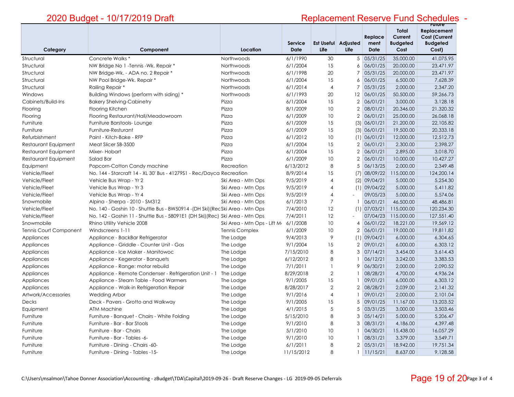# **Future**  Replacement Reserve Fund Schedules -

| Category                      | Component                                                                      | Location                    | Service<br><b>Date</b> | Life                     | Est Useful Adjusted<br>Life | Replace<br>ment<br><b>Date</b> | <b>Total</b><br>Current<br><b>Budgeted</b><br>Cost | Replacement<br><b>Cost (Current</b><br><b>Budgeted</b><br>Cost) |
|-------------------------------|--------------------------------------------------------------------------------|-----------------------------|------------------------|--------------------------|-----------------------------|--------------------------------|----------------------------------------------------|-----------------------------------------------------------------|
| Structural                    | Concrete Walks *                                                               | Northwoods                  | 6/1/1990               | 30                       |                             | 5 05/31/25                     | 35,000.00                                          | 41,075.95                                                       |
| Structural                    | NW Bridge No 1 - Tennis - Wk. Repair *                                         | Northwoods                  | 6/1/2004               | 15                       | 6                           | 06/01/25                       | 20,000.00                                          | 23.471.97                                                       |
| Structural                    | NW Bridge-Wk. - ADA no. 2 Repair *                                             | Northwoods                  | 6/1/1998               | 20                       | 7                           | 05/31/25                       | 20,000.00                                          | 23,471.97                                                       |
| Structural                    | NW Pool Bridge-Wk. Repair *                                                    | Northwoods                  | 6/1/2004               | 15                       | 6                           | 06/01/25                       | 6,500.00                                           | 7,628.39                                                        |
| Structural                    | Railing Repair *                                                               | Northwoods                  | 6/1/2014               | $\overline{4}$           | $\overline{7}$              | 05/31/25                       | 2,000.00                                           | 2,347.20                                                        |
| Windows                       | Building Windows (perform with siding) *                                       | Northwoods                  | 6/1/1993               | 20                       | 12                          | 06/01/25                       | 50,500.00                                          | 59,266.73                                                       |
| Cabinets/Build-Ins            | <b>Bakery Shelving-Cabinetry</b>                                               | Pizza                       | 6/1/2004               | 15                       | $\mathbf{2}$                | 06/01/21                       | 3,000.00                                           | 3,128.18                                                        |
| Flooring                      | Flooring Kitchen                                                               | Pizza                       | 8/1/2009               | 10                       | $\overline{2}$              | 08/01/21                       | 20,346.00                                          | 21,320.32                                                       |
| Flooring                      | Flooring Restaurant/Hall/Meadowroom                                            | Pizza                       | 6/1/2009               | 10                       | $\overline{2}$              | 06/01/21                       | 25,000.00                                          | 26,068.18                                                       |
| Furniture                     | Furniture Barstools-Lounge                                                     | Pizza                       | 6/1/2009               | 15                       | (3)                         | 06/01/21                       | 21,200.00                                          | 22,105.82                                                       |
| Furniture                     | Furniture-Resturant                                                            | Pizza                       | 6/1/2009               | 15                       |                             | (3) 06/01/21                   | 19,500.00                                          | 20,333.18                                                       |
| Refurbishment                 | Paint - Kitch-Bake - RFP                                                       | Pizza                       | 6/1/2012               | 10                       |                             | $(1)$ 06/01/21                 | 12,000.00                                          | 12,512.73                                                       |
| Restaurant Equipment          | Meat Slicer SB-3500                                                            | Pizza                       | 6/1/2004               | 15                       | 2                           | 06/01/21                       | 2,300.00                                           | 2,398.27                                                        |
| Restaurant Equipment          | Mixer-Hobart                                                                   | Pizza                       | 6/1/2004               | 15                       | $\mathbf{2}$                | 06/01/21                       | 2,895.00                                           | 3,018.70                                                        |
| Restaurant Equipment          | Salad Bar                                                                      | Pizza                       | 6/1/2009               | 10                       | $\overline{2}$              | 06/01/21                       | 10,000.00                                          | 10,427.27                                                       |
| Equipment                     | Popcorn-Cotton Candy machine                                                   | Recreation                  | 6/13/2012              | 8                        | 5                           | 06/13/25                       | 2,000.00                                           | 2,349.48                                                        |
| Vehicle/Fleet                 | No. 144 - Starcraft 14 - XL 30' Bus - 41279S1 - Rec/Dayca Recreation           |                             | 8/9/2014               | 15                       | (7)                         | 08/09/22                       | 115,000.00                                         | 124,200.14                                                      |
| Vehicle/Fleet                 | Vehicle Bus Wrap - Yr 2                                                        | Ski Area - Mtn Ops          | 9/5/2019               | $\overline{4}$           | (2)                         | 09/04/21                       | 5,000.00                                           | 5,254.30                                                        |
| Vehicle/Fleet                 | Vehicle Bus Wrap - Yr 3                                                        | Ski Area - Mtn Ops          | 9/5/2019               | 4                        |                             | $(1)$ 09/04/22                 | 5,000.00                                           | 5,411.82                                                        |
| Vehicle/Fleet                 | Vehicle Bus Wrap - Yr 4                                                        | Ski Area - Mtn Ops          | 9/5/2019               | 4                        | $\mathbf{r}$                | 09/05/23                       | 5,000.00                                           | 5,574.06                                                        |
| Snowmobile                    | Alpina - Sherpa - 2010 - SM312                                                 | Ski Area - Mtn Ops          | 6/1/2013               | $\overline{7}$           |                             | 06/01/21                       | 46,500.00                                          | 48,486.81                                                       |
| Vehicle/Fleet                 | No. 140 - Goshin 10 - Shuttle Bus - 8W50914 - (DH Ski) (Rec Ski Area - Mtn Ops |                             | 7/4/2010               | 12                       | (1)                         | 07/03/21                       | 115,000.00                                         | 120,234.30                                                      |
| Vehicle/Fleet                 | No. 142 - Goshin 11 - Shuttle Bus - 58091E1 (DH Ski) (Rec) Ski Area - Mtn Ops  |                             | 7/4/2011               | 12                       | $\blacksquare$              | 07/04/23                       | 115,000.00                                         | 127,551.40                                                      |
| Snowmobile                    | Rhino Utility Vehicle 2008                                                     | Ski Area - Mtn Ops - Lift M | 6/1/2008               | 10                       | 4                           | 06/01/22                       | 18,221.00                                          | 19,569.12                                                       |
| <b>Tennis Court Component</b> | Windscreens 1-11                                                               | <b>Tennis Complex</b>       | 6/1/2009               | 10                       | $\overline{2}$              | 06/01/21                       | 19,000.00                                          | 19.811.82                                                       |
| Appliances                    | Appliance - BackBar Refrigerator                                               | The Lodge                   | 9/4/2013               | 9                        | (1)                         | 09/04/21                       | 6,000.00                                           | 6,304.65                                                        |
| Appliances                    | Appliance - Griddle - Counter Unit - Gas                                       | The Lodge                   | 9/1/2004               | 15                       | $\overline{2}$              | 09/01/21                       | 6,000.00                                           | 6,303.12                                                        |
| Appliances                    | Appliance - Ice Maker - Manitowoc                                              | The Lodge                   | 7/15/2010              | 8                        | 3                           | 07/14/21                       | 3,454.00                                           | 3,614.43                                                        |
| Appliances                    | Appliance - Kegerator - Banquets                                               | The Lodge                   | 6/12/2012              | 8                        |                             | 06/12/21                       | 3,242.00                                           | 3,383.53                                                        |
| Appliances                    | Appliance - Range: motor rebuild                                               | The Lodge                   | 7/1/2011               | $\overline{\phantom{a}}$ | 9                           | 06/30/21                       | 2,000.00                                           | 2,090.52                                                        |
| Appliances                    | Appliance - Remote Condenser - Refrigeration Unit - 1                          | The Lodge                   | 8/29/2018              | $\overline{2}$           | - 1                         | 08/28/21                       | 4,700.00                                           | 4,936.24                                                        |
| Appliances                    | Appliance - Steam Table - Food Warmers                                         | The Lodge                   | 9/1/2005               | 15                       |                             | 09/01/21                       | 6,000.00                                           | 6,303.12                                                        |
| Appliances                    | Appliance - Walk-in Refrigeration Repair                                       | The Lodge                   | 8/28/2017              | $\overline{2}$           | $\overline{2}$              | 08/28/21                       | 2,039.00                                           | 2,141.32                                                        |
| Artwork/Accessories           | <b>Wedding Arbor</b>                                                           | The Lodge                   | 9/1/2016               | $\overline{4}$           |                             | 09/01/21                       | 2,000.00                                           | 2,101.04                                                        |
| <b>Decks</b>                  | Deck - Pavers - Grotto and Walkway                                             | The Lodge                   | 9/1/2005               | 15                       | 5                           | 09/01/25                       | 11,167.00                                          | 13,203.52                                                       |
| Equipment                     | <b>ATM Machine</b>                                                             | The Lodge                   | 4/1/2015               | 5                        | 5                           | 03/31/25                       | 3,000.00                                           | 3,503.46                                                        |
| Furniture                     | Furniture - Banquet - Chairs - White Folding                                   | The Lodge                   | 5/15/2010              | 8                        | 3                           | 05/14/21                       | 5,000.00                                           | 5.206.47                                                        |
| Furniture                     | Furniture - Bar - Bar Stools                                                   | The Lodge                   | 9/1/2010               | 8                        | 3                           | 08/31/21                       | 4,186.00                                           | 4,397.48                                                        |
| Furniture                     | Furniture - Bar - Chairs                                                       | The Lodge                   | 5/1/2010               | 10                       |                             | 04/30/21                       | 15,438.00                                          | 16,057.29                                                       |
| Furniture                     | Furniture - Bar - Tables -6-                                                   | The Lodge                   | 9/1/2010               | 10                       |                             | 08/31/21                       | 3,379.00                                           | 3,549.71                                                        |
| Furniture                     | Furniture - Dining - Chairs -60-                                               | The Lodge                   | 6/1/2011               | 8                        | $\overline{2}$              | 05/31/21                       | 18,942.00                                          | 19,751.34                                                       |
| Furniture                     | Furniture - Dining - Tables -15-                                               | The Lodge                   | 11/15/2012             | 8                        | 1                           | 11/15/21                       | 8,637.00                                           | 9,128.58                                                        |